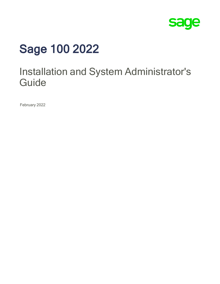

# Sage 100 2022

## Installation and System Administrator's **Guide**

February 2022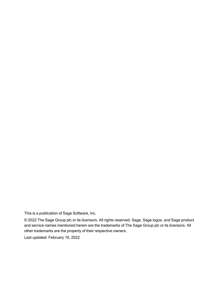This is a publication of Sage Software, Inc.

© 2022 The Sage Group plc or its licensors. All rights reserved. Sage, Sage logos, and Sage product and service names mentioned herein are the trademarks of The Sage Group plc or its licensors. All other trademarks are the property of their respective owners.

Last updated: February 16, 2022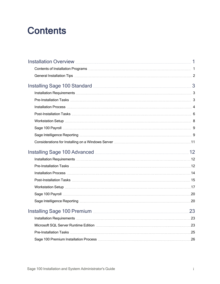## **Contents**

| Installing Sage 100 Standard Manual Manual Manual Manual 3      |  |
|-----------------------------------------------------------------|--|
|                                                                 |  |
|                                                                 |  |
|                                                                 |  |
|                                                                 |  |
|                                                                 |  |
|                                                                 |  |
|                                                                 |  |
|                                                                 |  |
| Installing Sage 100 Advanced <b>Mature 2016</b> 12              |  |
|                                                                 |  |
|                                                                 |  |
|                                                                 |  |
|                                                                 |  |
|                                                                 |  |
|                                                                 |  |
|                                                                 |  |
|                                                                 |  |
| Installing Sage 100 Premium <b>Manual According Contract 23</b> |  |
|                                                                 |  |
|                                                                 |  |
|                                                                 |  |
|                                                                 |  |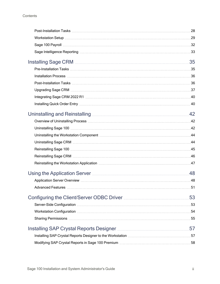| Uninstalling and Reinstalling <b>Manual</b> 2014 12 |    |
|-----------------------------------------------------|----|
|                                                     |    |
|                                                     |    |
|                                                     |    |
|                                                     |    |
|                                                     |    |
|                                                     |    |
|                                                     |    |
| Using the Application Server <b>Manufaction</b> 48  |    |
|                                                     |    |
|                                                     |    |
|                                                     | 53 |
|                                                     |    |
|                                                     |    |
|                                                     |    |
|                                                     |    |
|                                                     |    |
|                                                     |    |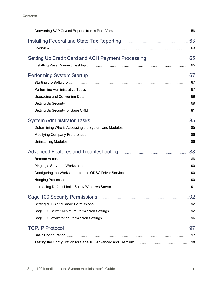**Contents** 

| Installing Federal and State Tax Reporting <b>Manual</b> 2014 10:43 10:44                                                                                                                                                      |    |
|--------------------------------------------------------------------------------------------------------------------------------------------------------------------------------------------------------------------------------|----|
|                                                                                                                                                                                                                                |    |
|                                                                                                                                                                                                                                |    |
|                                                                                                                                                                                                                                |    |
|                                                                                                                                                                                                                                |    |
| Performing System Startup <b>Maturing Community</b> 67                                                                                                                                                                         |    |
|                                                                                                                                                                                                                                |    |
|                                                                                                                                                                                                                                |    |
|                                                                                                                                                                                                                                |    |
|                                                                                                                                                                                                                                |    |
|                                                                                                                                                                                                                                |    |
|                                                                                                                                                                                                                                |    |
|                                                                                                                                                                                                                                |    |
|                                                                                                                                                                                                                                |    |
|                                                                                                                                                                                                                                |    |
|                                                                                                                                                                                                                                |    |
|                                                                                                                                                                                                                                |    |
| Pinging a Server or Workstation material content and the content of the Pinging a Server or Workstation material content and the content of the Pinging and Pinging and Pinging and Pinging and Pinging and Pinging and Pingin |    |
|                                                                                                                                                                                                                                |    |
|                                                                                                                                                                                                                                |    |
|                                                                                                                                                                                                                                |    |
|                                                                                                                                                                                                                                | 92 |
|                                                                                                                                                                                                                                |    |
|                                                                                                                                                                                                                                |    |
|                                                                                                                                                                                                                                |    |
|                                                                                                                                                                                                                                | 97 |
|                                                                                                                                                                                                                                |    |
|                                                                                                                                                                                                                                |    |
|                                                                                                                                                                                                                                |    |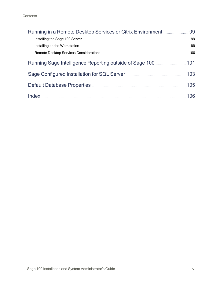| Running in a Remote Desktop Services or Citrix Environment <b>Municial</b> 99 |     |
|-------------------------------------------------------------------------------|-----|
|                                                                               |     |
|                                                                               |     |
|                                                                               |     |
| Running Sage Intelligence Reporting outside of Sage 100 <b>Multiple 101</b>   |     |
|                                                                               | 103 |
|                                                                               | 105 |
|                                                                               |     |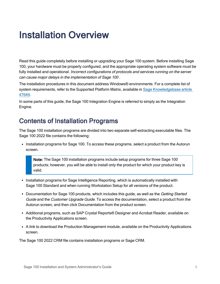## <span id="page-6-0"></span>Installation Overview

Read this guide completely before installing or upgrading your Sage 100 system. Before installing Sage 100, your hardware must be properly configured, and the appropriate operating system software must be fully installed and operational. Incorrect configurations of protocols and services running on the server can cause major delays in the implementation of Sage 100 .

The installation procedures in this document address Windows® environments. For a complete list of system requirements, refer to the Supported Platform Matrix, available in Sage [Knowledgebase](https://support.na.sage.com/selfservice/viewdocument.do?noCount=true&externalId=47649) article [47649](https://support.na.sage.com/selfservice/viewdocument.do?noCount=true&externalId=47649).

In some parts of this guide, the Sage 100 Integration Engine is referred to simply as the Integration Engine.

### <span id="page-6-1"></span>Contents of Installation Programs

The Sage 100 installation programs are divided into two separate self-extracting executable files. The Sage 100 2022 file contains the following:

• Installation programs for Sage 100. To access these programs, select a product from the Autorun screen.

Note: The Sage 100 installation programs include setup programs for three Sage 100 products; however, you will be able to install only the product for which your product key is valid.

- Installation programs for Sage Intelligence Reporting, which is automatically installed with Sage 100 Standard and when running Workstation Setup for all versions of the product.
- Documentation for Sage 100 products, which includes this guide, as well as the Getting Started Guide and the Customer Upgrade Guide. To access the documentation, select a product from the Autorun screen, and then click Documentation from the product screen.
- Additional programs, such as SAP Crystal Reports® Designer and Acrobat Reader, available on the Productivity Applications screen.
- A link to download the Production Management module, available on the Productivity Applications screen.

The Sage 100 2022 CRM file contains installation programs or Sage CRM.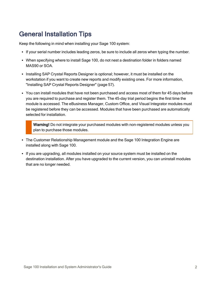### <span id="page-7-0"></span>General Installation Tips

Keep the following in mind when installing your Sage 100 system:

- If your serial number includes leading zeros, be sure to include all zeros when typing the number.
- When specifying where to install Sage 100, do not nest a destination folder in folders named MAS90 or SOA.
- Installing SAP Crystal Reports Designer is optional; however, it must be installed on the workstation if you want to create new reports and modify existing ones. For more information, "Installing SAP Crystal Reports [Designer"](#page-62-0) (page 57).
- You can install modules that have not been purchased and access most of them for 45 days before you are required to purchase and register them. The 45-day trial period begins the first time the module is accessed. The eBusiness Manager, Custom Office, and Visual Integrator modules must be registered before they can be accessed. Modules that have been purchased are automatically selected for installation.

Warning! Do not integrate your purchased modules with non-registered modules unless you plan to purchase those modules.

- The Customer Relationship Management module and the Sage 100 Integration Engine are installed along with Sage 100.
- If you are upgrading, all modules installed on your source system must be installed on the destination installation. After you have upgraded to the current version, you can uninstall modules that are no longer needed.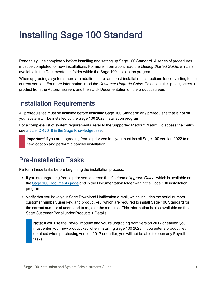## <span id="page-8-0"></span>Installing Sage 100 Standard

Read this guide completely before installing and setting up Sage 100 Standard. A series of procedures must be completed for new installations. For more information, read the Getting Started Guide, which is available in the Documentation folder within the Sage 100 installation program.

When upgrading a system, there are additional pre- and post-installation instructions for converting to the current version. For more information, read the *Customer Upgrade Guide*. To access this quide, select a product from the Autorun screen, and then click Documentation on the product screen.

### <span id="page-8-1"></span>Installation Requirements

All prerequisites must be installed before installing Sage 100 Standard; any prerequisite that is not on your system will be installed by the Sage 100 2022 installation program.

For a complete list of system requirements, refer to the Supported Platform Matrix. To access the matrix, see article ID 47649 in the Sage [Knowledgebase](https://support.na.sage.com/selfservice/viewdocument.do?noCount=true&externalId=47649).

Important! If you are upgrading from a prior version, you must install Sage 100 version 2022 to a new location and perform a parallel installation.

### <span id="page-8-2"></span>Pre-Installation Tasks

Perform these tasks before beginning the installation process.

- If you are upgrading from a prior version, read the Customer Upgrade Guide, which is available on the Sage 100 [Documents](http://cdn.na.sage.com/docs/en/customer/100erp/Documentation.htm) page and in the Documentation folder within the Sage 100 installation program.
- Verify that you have your Sage Download Notification e-mail, which includes the serial number, customer number, user key, and product key, which are required to install Sage 100 Standard for the correct number of users and to register the modules. This information is also available on the Sage Customer Portal under Products > Details.

Note: If you use the Payroll module and you're upgrading from version 2017 or earlier, you must enter your new product key when installing Sage 100 2022. If you enter a product key obtained when purchasing version 2017 or earlier, you will not be able to open any Payroll tasks.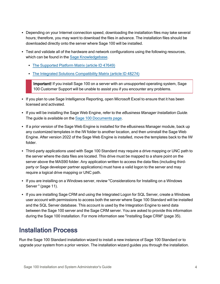- Depending on your Internet connection speed, downloading the installation files may take several hours; therefore, you may want to download the files in advance. The installation files should be downloaded directly onto the server where Sage 100 will be installed.
- Test and validate all of the hardware and network configurations using the following resources, which can be found in the Sage [Knowledgebase.](https://support.na.sage.com/selfservice/microsites/microsite.do)
	- The [Supported](https://support.na.sage.com/selfservice/viewdocument.do?noCount=true&externalId=47649) Platform Matrix (article ID 47649)
	- The Integrated Solutions [Compatibility](https://support.na.sage.com/selfservice/viewdocument.do?noCount=true&externalId=48274) Matrix (article ID 48274)

Important! If you install Sage 100 on a server with an unsupported operating system, Sage 100 Customer Support will be unable to assist you if you encounter any problems.

- If you plan to use Sage Intelligence Reporting, open Microsoft Excel to ensure that it has been licensed and activated.
- If you will be installing the Sage Web Engine, refer to the *eBusiness Manager Installation Guide*. The guide is available on the Sage 100 [Documents](http://cdn.na.sage.com/docs/en/customer/100erp/Documentation.htm) page.
- If a prior version of the Sage Web Engine is installed for the eBusiness Manager module, back up any customized templates in the IW folder to another location, and then uninstall the Sage Web Engine. After version 2022 of the Sage Web Engine is installed, move the templates back to the IW folder.
- <sup>l</sup> Third-party applications used with Sage 100 Standard may require a drive mapping or UNC path to the server where the data files are located. This drive must be mapped to a share point on the server above the MAS90 folder. Any application written to access the data files (including thirdparty or Sage developer partner applications) must have a valid logon to the server and may require a logical drive mapping or UNC path.
- If you are installing on a Windows server, review ["Considerations](#page-16-0) for Installing on a Windows [Server](#page-16-0) " (page 11).
- If you are installing Sage CRM and using the Integrated Logon for SQL Server, create a Windows user account with permissions to access both the server where Sage 100 Standard will be installed and the SQL Server database. This account is used by the Integration Engine to send data between the Sage 100 server and the Sage CRM server. You are asked to provide this information during the Sage 100 installation. For more information see ["Installing](#page-40-0) Sage CRM" (page 35).

### <span id="page-9-0"></span>Installation Process

Run the Sage 100 Standard installation wizard to install a new instance of Sage 100 Standard or to upgrade your system from a prior version. The installation wizard guides you through the installation.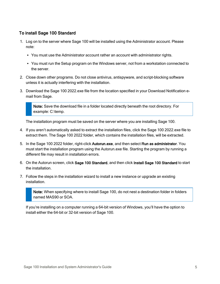#### To install Sage 100 Standard

- 1. Log on to the server where Sage 100 will be installed using the Administrator account. Please note:
	- You must use the Administrator account rather an account with administrator rights.
	- You must run the Setup program on the Windows server, not from a workstation connected to the server.
- 2. Close down other programs. Do not close antivirus, antispyware, and script-blocking software unless it is actually interfering with the installation.
- 3. Download the Sage 100 2022.exe file from the location specified in your Download Notification email from Sage.

Note: Save the download file in a folder located directly beneath the root directory. For example: C:\temp.

The installation program must be saved on the server where you are installing Sage 100.

- 4. If you aren't automatically asked to extract the installation files, click the Sage 100 2022.exe file to extract them. The Sage 100 2022 folder, which contains the installation files, will be extracted.
- 5. In the Sage 100 2022 folder, right-click Autorun.exe, and then select Run as administrator. You must start the installation program using the Autorun.exe file. Starting the program by running a different file may result in installation errors.
- 6. On the Autorun screen, click Sage 100 Standard, and then click Install Sage 100 Standard to start the installation.
- 7. Follow the steps in the installation wizard to install a new instance or upgrade an existing installation.

Note: When specifying where to install Sage 100, do not nest a destination folder in folders named MAS90 or SOA.

If you're installing on a computer running a 64-bit version of Windows, you'll have the option to install either the 64-bit or 32-bit version of Sage 100.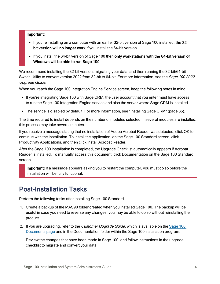#### Important:

- If you're installing on a computer with an earlier 32-bit version of Sage 100 installed, the 32bit version will no longer work if you install the 64-bit version.
- If you install the 64-bit version of Sage 100 then only workstations with the 64-bit version of Windows will be able to run Sage 100.

We recommend installing the 32-bit version, migrating your data, and then running the 32-bit/64-bit Switch Utility to convert version 2022 from 32-bit to 64-bit. For more information, see the Sage 100 2022 Upgrade Guide.

When you reach the Sage 100 Integration Engine Service screen, keep the following notes in mind:

- If you're integrating Sage 100 with Sage CRM, the user account that you enter must have access to run the Sage 100 Integration Engine service and also the server where Sage CRM is installed.
- The service is disabled by default. For more information, see ["Installing](#page-40-0) Sage CRM" (page 35).

The time required to install depends on the number of modules selected. If several modules are installed, this process may take several minutes.

If you receive a message stating that no installation of Adobe Acrobat Reader was detected, click OK to continue with the installation. To install the application, on the Sage 100 Standard screen, click Productivity Applications, and then click Install Acrobat Reader.

After the Sage 100 installation is completed, the Upgrade Checklist automatically appears if Acrobat Reader is installed. To manually access this document, click Documentation on the Sage 100 Standard screen.

Important! If a message appears asking you to restart the computer, you must do so before the installation will be fully functional.

### <span id="page-11-0"></span>Post-Installation Tasks

Perform the following tasks after installing Sage 100 Standard.

- 1. Create a backup of the MAS90 folder created when you installed Sage 100. The backup will be useful in case you need to reverse any changes; you may be able to do so without reinstalling the product.
- 2. If you are upgrading, refer to the *Customer Upgrade Guide*, which is available on the [Sage](http://cdn.na.sage.com/docs/en/customer/100erp/Documentation.htm) 100 [Documents](http://cdn.na.sage.com/docs/en/customer/100erp/Documentation.htm) page and in the Documentation folder within the Sage 100 installation program.

Review the changes that have been made in Sage 100, and follow instructions in the upgrade checklist to migrate and convert your data.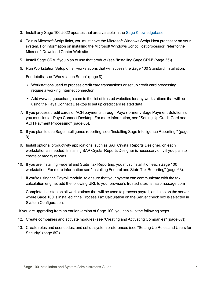- 3. Install any Sage 100 2022 updates that are available in the Sage [Knowledgebase](https://support.na.sage.com/selfservice/microsites/msbrowse.do?UMBrowseSelection=SG_SAGE100ERP_1).
- 4. To run Microsoft Script links, you must have the Microsoft Windows Script Host processor on your system. For information on installing the Microsoft Windows Script Host processor, refer to the Microsoft Download Center Web site.
- 5. Install Sage CRM if you plan to use that product (see ["Installing](#page-40-0) Sage CRM" (page 35)).
- 6. Run Workstation Setup on all workstations that will access the Sage 100 Standard installation.

For details, see ["Workstation](#page-13-0) Setup" (page 8).

- Workstations used to process credit card transactions or set up credit card processing require a working Internet connection.
- Add www.sageexchange.com to the list of trusted websites for any workstations that will be using the Paya Connect Desktop to set up credit card related data.
- 7. If you process credit cards or ACH payments through Paya (formerly Sage Payment Solutions), you must install Paya Connect Desktop. For more information, see ["Setting](#page-70-0) Up Credit Card and ACH Payment [Processing"](#page-70-0) (page 65).
- 8. If you plan to use Sage Intelligence reporting, see "Installing Sage [Intelligence](#page-14-2) Reporting " (page [9\).](#page-14-2)
- 9. Install optional productivity applications, such as SAP Crystal Reports Designer, on each workstation as needed. Installing SAP Crystal Reports Designer is necessary only if you plan to create or modify reports.
- 10. If you are installing Federal and State Tax Reporting, you must install it on each Sage 100 workstation. For more information see "Installing Federal and State Tax [Reporting"](#page-68-0) (page 63).
- 11. If you're using the Payroll module, to ensure that your system can communicate with the tax calculation engine, add the following URL to your browser's trusted sites list: sap.na.sage.com

Complete this step on all workstations that will be used to process payroll, and also on the server where Sage 100 is installed if the Process Tax Calculation on the Server check box is selected in System Configuration.

If you are upgrading from an earlier version of Sage 100, you can skip the following steps.

- 12. Create companies and activate modules (see "Creating and Activating [Companies"](#page-72-3) (page 67)).
- 13. Create roles and user codes, and set up system preferences (see ["Setting](#page-74-2) Up Roles and Users for [Security"](#page-74-2) (page 69)).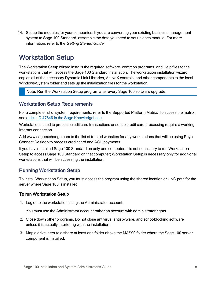14. Set up the modules for your companies. If you are converting your existing business management system to Sage 100 Standard, assemble the data you need to set up each module. For more information, refer to the Getting Started Guide.

### <span id="page-13-0"></span>Workstation Setup

The Workstation Setup wizard installs the required software, common programs, and Help files to the workstations that will access the Sage 100 Standard installation. The workstation installation wizard copies all of the necessary Dynamic Link Libraries, ActiveX controls, and other components to the local Windows\System folder and sets up the initialization files for the workstation.

Note: Run the Workstation Setup program after every Sage 100 software upgrade.

#### Workstation Setup Requirements

For a complete list of system requirements, refer to the Supported Platform Matrix. To access the matrix, see article ID 47649 in the Sage [Knowledgebase](https://support.na.sage.com/selfservice/viewdocument.do?noCount=true&externalId=47649).

Workstations used to process credit card transactions or set up credit card processing require a working Internet connection.

Add www.sageexchange.com to the list of trusted websites for any workstations that will be using Paya Connect Desktop to process credit card and ACH payments.

If you have installed Sage 100 Standard on only one computer, it is not necessary to run Workstation Setup to access Sage 100 Standard on that computer; Workstation Setup is necessary only for additional workstations that will be accessing the installation.

#### <span id="page-13-1"></span>Running Workstation Setup

To install Workstation Setup, you must access the program using the shared location or UNC path for the server where Sage 100 is installed.

#### To run Workstation Setup

1. Log onto the workstation using the Administrator account.

You must use the Administrator account rather an account with administrator rights.

- 2. Close down other programs. Do not close antivirus, antispyware, and script-blocking software unless it is actually interfering with the installation.
- 3. Map a drive letter to a share at least one folder above the MAS90 folder where the Sage 100 server component is installed.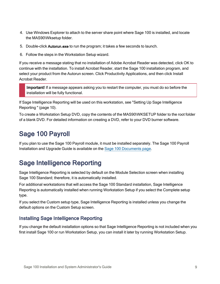- 4. Use Windows Explorer to attach to the server share point where Sage 100 is installed, and locate the MAS90\Wksetup folder.
- 5. Double-click Autorun.exe to run the program; it takes a few seconds to launch.
- 6. Follow the steps in the Workstation Setup wizard.

If you receive a message stating that no installation of Adobe Acrobat Reader was detected, click OK to continue with the installation. To install Acrobat Reader, start the Sage 100 installation program, and select your product from the Autorun screen. Click Productivity Applications, and then click Install Acrobat Reader.

Important! If a message appears asking you to restart the computer, you must do so before the installation will be fully functional.

If Sage Intelligence Reporting will be used on this workstation, see "Setting Up Sage [Intelligence](#page-15-0) [Reporting](#page-15-0) " (page 10).

To create a Workstation Setup DVD, copy the contents of the MAS90\WKSETUP folder to the root folder of a blank DVD. For detailed information on creating a DVD, refer to your DVD burner software.

### <span id="page-14-0"></span>Sage 100 Payroll

If you plan to use the Sage 100 Payroll module, it must be installed separately. The Sage 100 Payroll Installation and Upgrade Guide is available on the Sage [100 Documents](http://cdn.na.sage.com/docs/en/customer/100erp/Documentation.htm) page.

### <span id="page-14-1"></span>Sage Intelligence Reporting

Sage Intelligence Reporting is selected by default on the Module Selection screen when installing Sage 100 Standard; therefore, it is automatically installed.

For additional workstations that will access the Sage 100 Standard installation, Sage Intelligence Reporting is automatically installed when running Workstation Setup if you select the Complete setup type.

If you select the Custom setup type, Sage Intelligence Reporting is installed unless you change the default options on the Custom Setup screen.

#### <span id="page-14-2"></span>Installing Sage Intelligence Reporting

If you change the default installation options so that Sage Intelligence Reporting is not included when you first install Sage 100 or run Workstation Setup, you can install it later by running Workstation Setup.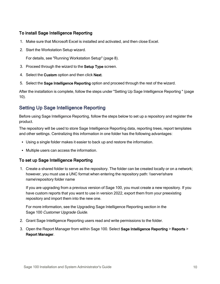#### To install Sage Intelligence Reporting

- 1. Make sure that Microsoft Excel is installed and activated, and then close Excel.
- 2. Start the Workstation Setup wizard.

For details, see "Running [Workstation](#page-13-1) Setup" (page 8).

- 3. Proceed through the wizard to the Setup Type screen.
- 4. Select the Custom option and then click Next.
- 5. Select the Sage Intelligence Reporting option and proceed through the rest of the wizard.

After the installation is complete, follow the steps under "Setting Up Sage [Intelligence](#page-15-0) Reporting " (page [10\).](#page-15-0)

#### <span id="page-15-0"></span>Setting Up Sage Intelligence Reporting

Before using Sage Intelligence Reporting, follow the steps below to set up a repository and register the product.

The repository will be used to store Sage Intelligence Reporting data, reporting trees, report templates and other settings. Centralizing this information in one folder has the following advantages:

- Using a single folder makes it easier to back up and restore the information.
- Multiple users can access the information.

#### To set up Sage Intelligence Reporting

1. Create a shared folder to serve as the repository. The folder can be created locally or on a network; however, you must use a UNC format when entering the repository path: \\server\share name\repository folder name

If you are upgrading from a previous version of Sage 100, you must create a new repository. If you have custom reports that you want to use in version 2022, export them from your preexisting repository and import them into the new one.

For more information, see the Upgrading Sage Intelligence Reporting section in the Sage 100 Customer Upgrade Guide.

- 2. Grant Sage Intelligence Reporting users read and write permissions to the folder.
- 3. Open the Report Manager from within Sage 100. Select Sage Intelligence Reporting > Reports > Report Manager.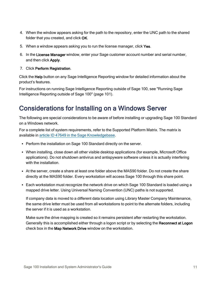- 4. When the window appears asking for the path to the repository, enter the UNC path to the shared folder that you created, and click OK.
- 5. When a window appears asking you to run the license manager, click Yes.
- 6. In the License Manager window, enter your Sage customer account number and serial number, and then click Apply.
- 7. Click Perform Registration.

Click the Help button on any Sage Intelligence Reporting window for detailed information about the product's features.

For instructions on running Sage Intelligence Reporting outside of Sage 100, see ["Running](#page-106-0) Sage [Intelligence](#page-106-0) Reporting outside of Sage 100" (page 101).

### <span id="page-16-0"></span>Considerations for Installing on a Windows Server

The following are special considerations to be aware of before installing or upgrading Sage 100 Standard on a Windows network.

For a complete list of system requirements, refer to the Supported Platform Matrix. The matrix is available in article ID 47649 in the Sage [Knowledgebase.](https://support.na.sage.com/selfservice/viewdocument.do?noCount=true&externalId=47649)

- Perform the installation on Sage 100 Standard directly on the server.
- When installing, close down all other visible desktop applications (for example, Microsoft Office applications). Do not shutdown antivirus and antispyware software unless it is actually interfering with the installation
- At the server, create a share at least one folder above the MAS90 folder. Do not create the share directly at the MAS90 folder. Every workstation will access Sage 100 through this share point.
- Each workstation must recognize the network drive on which Sage 100 Standard is loaded using a mapped drive letter. Using Universal Naming Convention (UNC) paths is not supported.

If company data is moved to a different data location using Library Master Company Maintenance, the same drive letter must be used from all workstations to point to the alternate folders, including the server if it is used as a workstation.

Make sure the drive mapping is created so it remains persistent after restarting the workstation. Generally this is accomplished either through a logon script or by selecting the Reconnect at Logon check box in the Map Network Drive window on the workstation.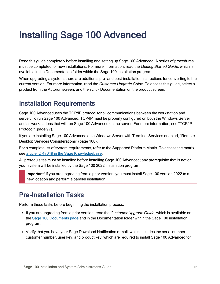## <span id="page-17-0"></span>Installing Sage 100 Advanced

Read this guide completely before installing and setting up Sage 100 Advanced. A series of procedures must be completed for new installations. For more information, read the Getting Started Guide, which is available in the Documentation folder within the Sage 100 installation program.

When upgrading a system, there are additional pre- and post-installation instructions for converting to the current version. For more information, read the *Customer Upgrade Guide*. To access this quide, select a product from the Autorun screen, and then click Documentation on the product screen.

### <span id="page-17-1"></span>Installation Requirements

Sage 100 Advanceduses the TCP/IP protocol for all communications between the workstation and server. To run Sage 100 Advanced, TCP/IP must be properly configured on both the Windows Server and all workstations that will run Sage 100 Advanced on the server. For more information, see ["TCP/IP](#page-102-0) [Protocol"](#page-102-0) (page 97).

If you are installing Sage 100 Advanced on a Windows Server with Terminal Services enabled, ["Remote](#page-105-0) Desktop Services [Considerations"](#page-105-0) (page 100).

For a complete list of system requirements, refer to the Supported Platform Matrix. To access the matrix, see article ID 47649 in the Sage [Knowledgebase](https://support.na.sage.com/selfservice/viewdocument.do?noCount=true&externalId=47649).

All prerequisites must be installed before installing Sage 100 Advanced; any prerequisite that is not on your system will be installed by the Sage 100 2022 installation program.

Important! If you are upgrading from a prior version, you must install Sage 100 version 2022 to a new location and perform a parallel installation.

### <span id="page-17-2"></span>Pre-Installation Tasks

Perform these tasks before beginning the installation process.

- If you are upgrading from a prior version, read the Customer Upgrade Guide, which is available on the Sage 100 [Documents](http://cdn.na.sage.com/docs/en/customer/100erp/Documentation.htm) page and in the Documentation folder within the Sage 100 installation program.
- Verify that you have your Sage Download Notification e-mail, which includes the serial number, customer number, user key, and product key, which are required to install Sage 100 Advanced for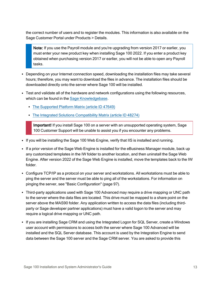the correct number of users and to register the modules. This information is also available on the Sage Customer Portal under Products > Details.

Note: If you use the Payroll module and you're upgrading from version 2017 or earlier, you must enter your new product key when installing Sage 100 2022. If you enter a product key obtained when purchasing version 2017 or earlier, you will not be able to open any Payroll tasks.

- Depending on your Internet connection speed, downloading the installation files may take several hours; therefore, you may want to download the files in advance. The installation files should be downloaded directly onto the server where Sage 100 will be installed.
- Test and validate all of the hardware and network configurations using the following resources, which can be found in the Sage [Knowledgebase.](https://support.na.sage.com/selfservice/microsites/microsite.do)
	- The [Supported](https://support.na.sage.com/selfservice/viewdocument.do?noCount=true&externalId=47649) Platform Matrix (article ID 47649)
	- The Integrated Solutions [Compatibility](https://support.na.sage.com/selfservice/viewdocument.do?noCount=true&externalId=48274) Matrix (article ID 48274)

Important! If you install Sage 100 on a server with an unsupported operating system, Sage 100 Customer Support will be unable to assist you if you encounter any problems.

- If you will be installing the Sage 100 Web Engine, verify that IIS is installed and running.
- If a prior version of the Sage Web Engine is installed for the eBusiness Manager module, back up any customized templates in the IW folder to another location, and then uninstall the Sage Web Engine. After version 2022 of the Sage Web Engine is installed, move the templates back to the IW folder.
- Configure TCP/IP as a protocol on your server and workstations. All workstations must be able to ping the server and the server must be able to ping all of the workstations. For information on pinging the server, see "Basic [Configuration"](#page-102-1) (page 97).
- Third-party applications used with Sage 100 Advanced may require a drive mapping or UNC path to the server where the data files are located. This drive must be mapped to a share point on the server above the MAS90 folder. Any application written to access the data files (including thirdparty or Sage developer partner applications) must have a valid logon to the server and may require a logical drive mapping or UNC path.
- If you are installing Sage CRM and using the Integrated Logon for SQL Server, create a Windows user account with permissions to access both the server where Sage 100 Advanced will be installed and the SQL Server database. This account is used by the Integration Engine to send data between the Sage 100 server and the Sage CRM server. You are asked to provide this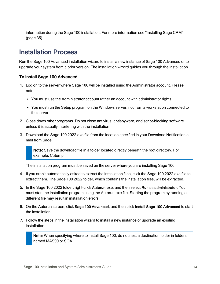information during the Sage 100 installation. For more information see ["Installing](#page-40-0) Sage CRM" [\(page](#page-40-0) 35).

### <span id="page-19-0"></span>Installation Process

Run the Sage 100 Advanced installation wizard to install a new instance of Sage 100 Advanced or to upgrade your system from a prior version. The installation wizard guides you through the installation.

#### To install Sage 100 Advanced

- 1. Log on to the server where Sage 100 will be installed using the Administrator account. Please note:
	- You must use the Administrator account rather an account with administrator rights.
	- You must run the Setup program on the Windows server, not from a workstation connected to the server.
- 2. Close down other programs. Do not close antivirus, antispyware, and script-blocking software unless it is actually interfering with the installation.
- 3. Download the Sage 100 2022.exe file from the location specified in your Download Notification email from Sage.

Note: Save the download file in a folder located directly beneath the root directory. For example: C:\temp.

The installation program must be saved on the server where you are installing Sage 100.

- 4. If you aren't automatically asked to extract the installation files, click the Sage 100 2022.exe file to extract them. The Sage 100 2022 folder, which contains the installation files, will be extracted.
- 5. In the Sage 100 2022 folder, right-click Autorun.exe, and then select Run as administrator. You must start the installation program using the Autorun.exe file. Starting the program by running a different file may result in installation errors.
- 6. On the Autorun screen, click Sage 100 Advanced, and then click Install Sage 100 Advanced to start the installation.
- 7. Follow the steps in the installation wizard to install a new instance or upgrade an existing installation.

Note: When specifying where to install Sage 100, do not nest a destination folder in folders named MAS90 or SOA.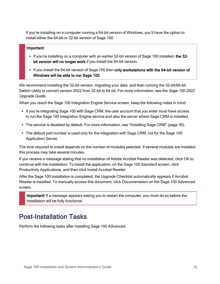If you're installing on a computer running a 64-bit version of Windows, you'll have the option to install either the 64-bit or 32-bit version of Sage 100.

#### Important:

- If you're installing on a computer with an earlier 32-bit version of Sage 100 installed, the 32bit version will no longer work if you install the 64-bit version.
- If you install the 64-bit version of Sage 100 then only workstations with the 64-bit version of Windows will be able to run Sage 100.

We recommend installing the 32-bit version, migrating your data, and then running the 32-bit/64-bit Switch Utility to convert version 2022 from 32-bit to 64-bit. For more information, see the Sage 100 2022 Upgrade Guide.

When you reach the Sage 100 Integration Engine Service screen, keep the following notes in mind:

- If you're integrating Sage 100 with Sage CRM, the user account that you enter must have access to run the Sage 100 Integration Engine service and also the server where Sage CRM is installed.
- The service is disabled by default. For more information, see ["Installing](#page-40-0) Sage CRM" (page 35).
- The default port number is used only for the integration with Sage CRM, not for the Sage 100 Application Server.

The time required to install depends on the number of modules selected. If several modules are installed, this process may take several minutes.

If you receive a message stating that no installation of Adobe Acrobat Reader was detected, click OK to continue with the installation. To install the application, on the Sage 100 Standard screen, click Productivity Applications, and then click Install Acrobat Reader.

After the Sage 100 installation is completed, the Upgrade Checklist automatically appears if Acrobat Reader is installed. To manually access this document, click Documentation on the Sage 100 Advanced screen.

Important! If a message appears asking you to restart the computer, you must do so before the installation will be fully functional.

### <span id="page-20-0"></span>Post-Installation Tasks

Perform the following tasks after installing Sage 100 Advanced.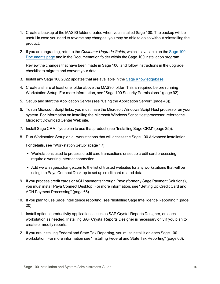- 1. Create a backup of the MAS90 folder created when you installed Sage 100. The backup will be useful in case you need to reverse any changes; you may be able to do so without reinstalling the product.
- 2. If you are upgrading, refer to the Customer Upgrade Guide, which is available on the [Sage](http://cdn.na.sage.com/docs/en/customer/100erp/Documentation.htm) 100 [Documents](http://cdn.na.sage.com/docs/en/customer/100erp/Documentation.htm) page and in the Documentation folder within the Sage 100 installation program.

Review the changes that have been made in Sage 100, and follow instructions in the upgrade checklist to migrate and convert your data.

- 3. Install any Sage 100 2022 updates that are available in the Sage [Knowledgebase](https://support.na.sage.com/selfservice/microsites/msbrowse.do?UMBrowseSelection=SG_SAGE100ERP_1).
- 4. Create a share at least one folder above the MAS90 folder. This is required before running Workstation Setup. For more information, see "Sage 100 Security [Permissions](#page-97-0) " (page 92).
- 5. Set up and start the Application Server (see "Using the [Application](#page-53-0) Server" (page 48)).
- 6. To run Microsoft Script links, you must have the Microsoft Windows Script Host processor on your system. For information on installing the Microsoft Windows Script Host processor, refer to the Microsoft Download Center Web site.
- 7. Install Sage CRM if you plan to use that product (see ["Installing](#page-40-0) Sage CRM" (page 35)).
- 8. Run Workstation Setup on all workstations that will access the Sage 100 Advanced installation.

For details, see ["Workstation](#page-22-0) Setup" (page 17).

- Workstations used to process credit card transactions or set up credit card processing require a working Internet connection.
- Add www.sageexchange.com to the list of trusted websites for any workstations that will be using the Paya Connect Desktop to set up credit card related data.
- 9. If you process credit cards or ACH payments through Paya (formerly Sage Payment Solutions), you must install Paya Connect Desktop. For more information, see ["Setting](#page-70-0) Up Credit Card and ACH Payment [Processing"](#page-70-0) (page 65).
- 10. If you plan to use Sage Intelligence reporting, see "Installing Sage [Intelligence](#page-25-2) Reporting " (page [20\).](#page-25-2)
- 11. Install optional productivity applications, such as SAP Crystal Reports Designer, on each workstation as needed. Installing SAP Crystal Reports Designer is necessary only if you plan to create or modify reports.
- 12. If you are installing Federal and State Tax Reporting, you must install it on each Sage 100 workstation. For more information see "Installing Federal and State Tax [Reporting"](#page-68-0) (page 63).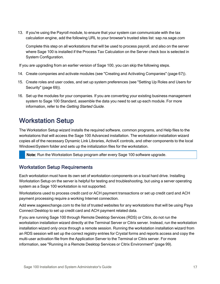13. If you're using the Payroll module, to ensure that your system can communicate with the tax calculation engine, add the following URL to your browser's trusted sites list: sap.na.sage.com

Complete this step on all workstations that will be used to process payroll, and also on the server where Sage 100 is installed if the Process Tax Calculation on the Server check box is selected in System Configuration.

If you are upgrading from an earlier version of Sage 100, you can skip the following steps.

- 14. Create companies and activate modules (see "Creating and Activating [Companies"](#page-72-3) (page 67)).
- 15. Create roles and user codes, and set up system preferences (see ["Setting](#page-74-2) Up Roles and Users for [Security"](#page-74-2) (page 69)).
- 16. Set up the modules for your companies. If you are converting your existing business management system to Sage 100 Standard, assemble the data you need to set up each module. For more information, refer to the Getting Started Guide.

### <span id="page-22-0"></span>Workstation Setup

The Workstation Setup wizard installs the required software, common programs, and Help files to the workstations that will access the Sage 100 Advanced installation. The workstation installation wizard copies all of the necessary Dynamic Link Libraries, ActiveX controls, and other components to the local Windows\System folder and sets up the initialization files for the workstation.

Note: Run the Workstation Setup program after every Sage 100 software upgrade.

#### Workstation Setup Requirements

Each workstation must have its own set of workstation components on a local hard drive. Installing Workstation Setup on the server is helpful for testing and troubleshooting, but using a server operating system as a Sage 100 workstation is not supported.

Workstations used to process credit card or ACH payment transactions or set up credit card and ACH payment processing require a working Internet connection.

Add www.sageexchange.com to the list of trusted websites for any workstations that will be using Paya Connect Desktop to set up credit card and ACH payment related data.

If you are running Sage 100 through Remote Desktop Services (RDS) or Citrix, do not run the workstation installation wizard directly at the Terminal Server or Citrix server. Instead, run the workstation installation wizard only once through a remote session. Running the workstation installation wizard from an RDS session will set up the correct registry entries for Crystal forms and reports access and copy the multi-user activation file from the Application Server to the Terminal or Citrix server. For more information, see "Running in a Remote Desktop Services or Citrix [Environment"](#page-104-0) (page 99).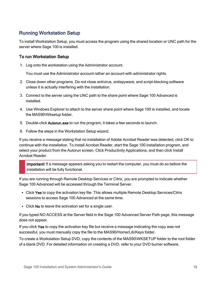#### <span id="page-23-0"></span>Running Workstation Setup

To install Workstation Setup, you must access the program using the shared location or UNC path for the server where Sage 100 is installed.

#### To run Workstation Setup

1. Log onto the workstation using the Administrator account.

You must use the Administrator account rather an account with administrator rights.

- 2. Close down other programs. Do not close antivirus, antispyware, and script-blocking software unless it is actually interfering with the installation.
- 3. Connect to the server using the UNC path to the share point where Sage 100 Advanced is installed.
- 4. Use Windows Explorer to attach to the server share point where Sage 100 is installed, and locate the MAS90\Wksetup folder.
- 5. Double-click Autorun.exe to run the program; it takes a few seconds to launch.
- 6. Follow the steps in the Workstation Setup wizard.

If you receive a message stating that no installation of Adobe Acrobat Reader was detected, click OK to continue with the installation. To install Acrobat Reader, start the Sage 100 installation program, and select your product from the Autorun screen. Click Productivity Applications, and then click Install Acrobat Reader.

Important! If a message appears asking you to restart the computer, you must do so before the installation will be fully functional.

If you are running through Remote Desktop Services or Citrix, you are prompted to indicate whether Sage 100 Advanced will be accessed through the Terminal Server.

- Click Yes to copy the activation key file. This allows multiple Remote Desktop Services/Citrix sessions to access Sage 100 Advanced at the same time.
- Click No to leave the activation set for a single user.

If you typed NO ACCESS at the Server field in the Sage 100 Advanced Server Path page, this message does not appear.

If you click Yes to copy the activation key file but receive a message indicating the copy was not successful, you must manually copy the file to the MAS90/Home/Lib/Keys folder.

To create a Workstation Setup DVD, copy the contents of the MAS90\WKSETUP folder to the root folder of a blank DVD. For detailed information on creating a DVD, refer to your DVD burner software.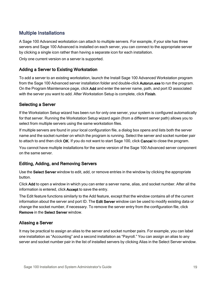#### Multiple Installations

A Sage 100 Advanced workstation can attach to multiple servers. For example, if your site has three servers and Sage 100 Advanced is installed on each server, you can connect to the appropriate server by clicking a single icon rather than having a separate icon for each installation.

Only one current version on a server is supported.

#### Adding a Server to Existing Workstation

To add a server to an existing workstation, launch the Install Sage 100 Advanced Workstation program from the Sage 100 Advanced server installation folder and double-click Autorun.exe to run the program. On the Program Maintenance page, click Add and enter the server name, path, and port ID associated with the server you want to add. After Workstation Setup is complete, click Finish.

#### Selecting a Server

If the Workstation Setup wizard has been run for only one server, your system is configured automatically for that server. Running the Workstation Setup wizard again (from a different server path) allows you to select from multiple servers using the same workstation files.

If multiple servers are found in your local configuration file, a dialog box opens and lists both the server name and the socket number on which the program is running. Select the server and socket number pair to attach to and then click OK. If you do not want to start Sage 100, click Cancel to close the program.

You cannot have multiple installations for the same version of the Sage 100 Advanced server component on the same server.

#### Editing, Adding, and Removing Servers

Use the Select Server window to edit, add, or remove entries in the window by clicking the appropriate button.

Click Add to open a window in which you can enter a server name, alias, and socket number. After all the information is entered, click Accept to save the entry.

The Edit feature functions similarly to the Add feature, except that the window contains all of the current information about the server and port ID. The Edit Server window can be used to modify existing data or change the socket number, if necessary. To remove the server entry from the configuration file, click Remove in the Select Server window.

#### Aliasing a Server

It may be practical to assign an alias to the server and socket number pairs. For example, you can label one installation as "Accounting" and a second installation as "Payroll." You can assign an alias to any server and socket number pair in the list of installed servers by clicking Alias in the Select Server window.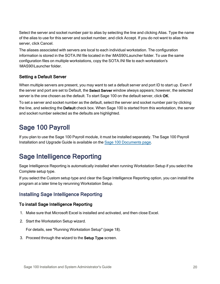Select the server and socket number pair to alias by selecting the line and clicking Alias. Type the name of the alias to use for this server and socket number, and click Accept. If you do not want to alias this server, click Cancel.

The aliases associated with servers are local to each individual workstation. The configuration information is stored in the SOTA.INI file located in the \MAS90\Launcher folder. To use the same configuration files on multiple workstations, copy the SOTA.INI file to each workstation's \MAS90\Launcher folder.

#### Setting a Default Server

When multiple servers are present, you may want to set a default server and port ID to start up. Even if the server and port are set to Default, the Select Server window always appears; however, the selected server is the one chosen as the default. To start Sage 100 on the default server, click OK.

To set a server and socket number as the default, select the server and socket number pair by clicking the line, and selecting the Default check box. When Sage 100 is started from this workstation, the server and socket number selected as the defaults are highlighted.

### <span id="page-25-0"></span>Sage 100 Payroll

If you plan to use the Sage 100 Payroll module, it must be installed separately. The Sage 100 Payroll Installation and Upgrade Guide is available on the Sage [100 Documents](http://cdn.na.sage.com/docs/en/customer/100erp/Documentation.htm) page.

### <span id="page-25-1"></span>Sage Intelligence Reporting

Sage Intelligence Reporting is automatically installed when running Workstation Setup if you select the Complete setup type.

If you select the Custom setup type and clear the Sage Intelligence Reporting option, you can install the program at a later time by rerunning Workstation Setup.

#### <span id="page-25-2"></span>Installing Sage Intelligence Reporting

#### To install Sage Intelligence Reporting

- 1. Make sure that Microsoft Excel is installed and activated, and then close Excel.
- 2. Start the Workstation Setup wizard.

For details, see "Running [Workstation](#page-23-0) Setup" (page 18).

3. Proceed through the wizard to the Setup Type screen.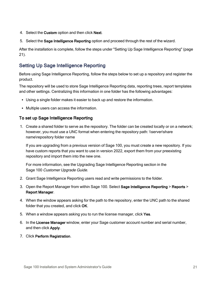- 4. Select the Custom option and then click Next.
- 5. Select the Sage Intelligence Reporting option and proceed through the rest of the wizard.

After the installation is complete, follow the steps under "Setting Up Sage [Intelligence](#page-26-0) Reporting" (page [21\).](#page-26-0)

#### <span id="page-26-0"></span>Setting Up Sage Intelligence Reporting

Before using Sage Intelligence Reporting, follow the steps below to set up a repository and register the product.

The repository will be used to store Sage Intelligence Reporting data, reporting trees, report templates and other settings. Centralizing this information in one folder has the following advantages:

- Using a single folder makes it easier to back up and restore the information.
- Multiple users can access the information.

#### To set up Sage Intelligence Reporting

1. Create a shared folder to serve as the repository. The folder can be created locally or on a network; however, you must use a UNC format when entering the repository path: \\server\share name\repository folder name

If you are upgrading from a previous version of Sage 100, you must create a new repository. If you have custom reports that you want to use in version 2022, export them from your preexisting repository and import them into the new one.

For more information, see the Upgrading Sage Intelligence Reporting section in the Sage 100 Customer Upgrade Guide.

- 2. Grant Sage Intelligence Reporting users read and write permissions to the folder.
- 3. Open the Report Manager from within Sage 100. Select Sage Intelligence Reporting > Reports > Report Manager.
- 4. When the window appears asking for the path to the repository, enter the UNC path to the shared folder that you created, and click OK.
- 5. When a window appears asking you to run the license manager, click Yes.
- 6. In the License Manager window, enter your Sage customer account number and serial number, and then click Apply.
- 7. Click Perform Registration.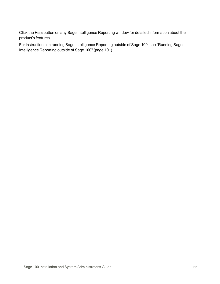Click the Help button on any Sage Intelligence Reporting window for detailed information about the product's features.

For instructions on running Sage Intelligence Reporting outside of Sage 100, see ["Running](#page-106-0) Sage [Intelligence](#page-106-0) Reporting outside of Sage 100" (page 101).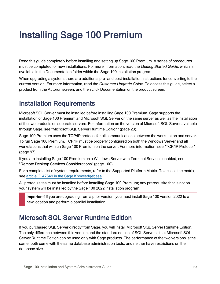## <span id="page-28-0"></span>Installing Sage 100 Premium

Read this guide completely before installing and setting up Sage 100 Premium. A series of procedures must be completed for new installations. For more information, read the Getting Started Guide, which is available in the Documentation folder within the Sage 100 installation program.

When upgrading a system, there are additional pre- and post-installation instructions for converting to the current version. For more information, read the *Customer Upgrade Guide*. To access this quide, select a product from the Autorun screen, and then click Documentation on the product screen.

### <span id="page-28-1"></span>Installation Requirements

Microsoft SQL Server must be installed before installing Sage 100 Premium. Sage supports the installation of Sage 100 Premium and Microsoft SQL Server on the same server as well as the installation of the two products on separate servers. For information on the version of Microsoft SQL Server available through Sage, see ["Microsoft](#page-28-2) SQL Server Runtime Edition" (page 23).

Sage 100 Premium uses the TCP/IP protocol for all communications between the workstation and server. To run Sage 100 Premium, TCP/IP must be properly configured on both the Windows Server and all workstations that will run Sage 100 Premium on the server. For more information, see "TCP/IP [Protocol"](#page-102-0) [\(page](#page-102-0) 97).

If you are installing Sage 100 Premium on a Windows Server with Terminal Services enabled, see "Remote Desktop Services [Considerations"](#page-105-0) (page 100).

For a complete list of system requirements, refer to the Supported Platform Matrix. To access the matrix, see article ID 47649 in the Sage [Knowledgebase](https://support.na.sage.com/selfservice/viewdocument.do?noCount=true&externalId=47649).

All prerequisites must be installed before installing Sage 100 Premium; any prerequisite that is not on your system will be installed by the Sage 100 2022 installation program.

Important! If you are upgrading from a prior version, you must install Sage 100 version 2022 to a new location and perform a parallel installation.

### <span id="page-28-2"></span>Microsoft SQL Server Runtime Edition

If you purchased SQL Server directly from Sage, you will install Microsoft SQL Server Runtime Edition. The only difference between this version and the standard edition of SQL Server is that Microsoft SQL Server Runtime Edition can be used only with Sage products. The performance of the two versions is the same, both come with the same database administration tools, and neither have restrictions on the database size.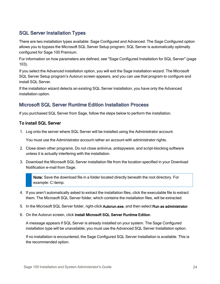#### SQL Server Installation Types

There are two installation types available: Sage Configured and Advanced. The Sage Configured option allows you to bypass the Microsoft SQL Server Setup program; SQL Server is automatically optimally configured for Sage 100 Premium.

For information on how parameters are defined, see "Sage [Configured](#page-108-0) Installation for SQL Server" (page [103\).](#page-108-0)

If you select the Advanced installation option, you will exit the Sage installation wizard. The Microsoft SQL Server Setup program's Autorun screen appears, and you can use that program to configure and install SQL Server.

If the installation wizard detects an existing SQL Server installation, you have only the Advanced installation option.

#### Microsoft SQL Server Runtime Edition Installation Process

If you purchased SQL Server from Sage, follow the steps below to perform the installation.

#### To install SQL Server

1. Log onto the server where SQL Server will be installed using the Administrator account.

You must use the Administrator account rather an account with administrator rights.

- 2. Close down other programs. Do not close antivirus, antispyware, and script-blocking software unless it is actually interfering with the installation.
- 3. Download the Microsoft SQL Server installation file from the location specified in your Download Notification e-mail from Sage.

Note: Save the download file in a folder located directly beneath the root directory. For example: C:\temp.

- 4. If you aren't automatically asked to extract the installation files, click the executable file to extract them. The Microsoft SQL Server folder, which contains the installation files, will be extracted.
- 5. In the Microsoft SQL Server folder, right-click Autorun.exe, and then select Run as administrator.
- 6. On the Autorun screen, click Install Microsoft SQL Server Runtime Edition.

A message appears if SQL Server is already installed on your system. The Sage Configured installation type will be unavailable; you must use the Advanced SQL Server Installation option.

If no installation is encountered, the Sage Configured SQL Server Installation is available. This is the recommended option.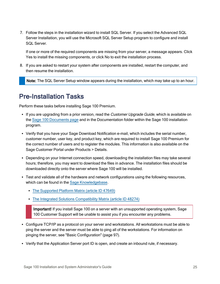7. Follow the steps in the installation wizard to install SQL Server. If you select the Advanced SQL Server Installation, you will use the Microsoft SQL Server Setup program to configure and install SQL Server.

If one or more of the required components are missing from your server, a message appears. Click Yes to install the missing components, or click No to exit the installation process.

8. If you are asked to restart your system after components are installed, restart the computer, and then resume the installation.

Note: The SQL Server Setup window appears during the installation, which may take up to an hour.

### <span id="page-30-0"></span>Pre-Installation Tasks

Perform these tasks before installing Sage 100 Premium.

- If you are upgrading from a prior version, read the Customer Upgrade Guide, which is available on the Sage 100 [Documents](http://cdn.na.sage.com/docs/en/customer/100erp/Documentation.htm) page and in the Documentation folder within the Sage 100 installation program.
- Verify that you have your Sage Download Notification e-mail, which includes the serial number, customer number, user key, and product key, which are required to install Sage 100 Premium for the correct number of users and to register the modules. This information is also available on the Sage Customer Portal under Products > Details.
- Depending on your Internet connection speed, downloading the installation files may take several hours; therefore, you may want to download the files in advance. The installation files should be downloaded directly onto the server where Sage 100 will be installed.
- Test and validate all of the hardware and network configurations using the following resources, which can be found in the Sage [Knowledgebase.](https://support.na.sage.com/selfservice/microsites/microsite.do)
	- The [Supported](https://support.na.sage.com/selfservice/viewdocument.do?noCount=true&externalId=47649) Platform Matrix (article ID 47649)
	- The Integrated Solutions [Compatibility](https://support.na.sage.com/selfservice/viewdocument.do?noCount=true&externalId=48274) Matrix (article ID 48274)

Important! If you install Sage 100 on a server with an unsupported operating system, Sage 100 Customer Support will be unable to assist you if you encounter any problems.

- Configure TCP/IP as a protocol on your server and workstations. All workstations must be able to ping the server and the server must be able to ping all of the workstations. For information on pinging the server, see "Basic [Configuration"](#page-102-1) (page 97).
- Verify that the Application Server port ID is open, and create an inbound rule, if necessary.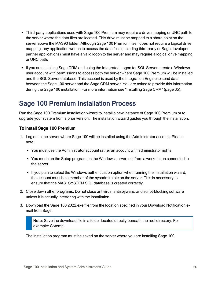- Third-party applications used with Sage 100 Premium may require a drive mapping or UNC path to the server where the data files are located. This drive must be mapped to a share point on the server above the MAS90 folder. Although Sage 100 Premium itself does not require a logical drive mapping, any application written to access the data files (including third-party or Sage developer partner applications) must have a valid logon to the server and may require a logical drive mapping or UNC path.
- If you are installing Sage CRM and using the Integrated Logon for SQL Server, create a Windows user account with permissions to access both the server where Sage 100 Premium will be installed and the SQL Server database. This account is used by the Integration Engine to send data between the Sage 100 server and the Sage CRM server. You are asked to provide this information during the Sage 100 installation. For more information see ["Installing](#page-40-0) Sage CRM" (page 35).

### <span id="page-31-0"></span>Sage 100 Premium Installation Process

Run the Sage 100 Premium installation wizard to install a new instance of Sage 100 Premium or to upgrade your system from a prior version. The installation wizard guides you through the installation.

#### To install Sage 100 Premium

- 1. Log on to the server where Sage 100 will be installed using the Administrator account. Please note:
	- You must use the Administrator account rather an account with administrator rights.
	- You must run the Setup program on the Windows server, not from a workstation connected to the server.
	- If you plan to select the Windows authentication option when running the installation wizard, the account must be a member of the sysadmin role on the server. This is necessary to ensure that the MAS\_SYSTEM SQL database is created correctly.
- 2. Close down other programs. Do not close antivirus, antispyware, and script-blocking software unless it is actually interfering with the installation.
- 3. Download the Sage 100 2022.exe file from the location specified in your Download Notification email from Sage.

Note: Save the download file in a folder located directly beneath the root directory. For example: C:\temp.

The installation program must be saved on the server where you are installing Sage 100.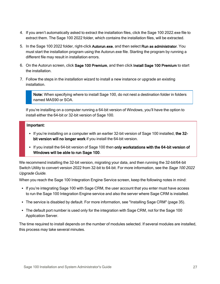- 4. If you aren't automatically asked to extract the installation files, click the Sage 100 2022.exe file to extract them. The Sage 100 2022 folder, which contains the installation files, will be extracted.
- 5. In the Sage 100 2022 folder, right-click Autorun.exe, and then select Run as administrator. You must start the installation program using the Autorun.exe file. Starting the program by running a different file may result in installation errors.
- 6. On the Autorun screen, click Sage 100 Premium, and then click Install Sage 100 Premium to start the installation.
- 7. Follow the steps in the installation wizard to install a new instance or upgrade an existing installation.

Note: When specifying where to install Sage 100, do not nest a destination folder in folders named MAS90 or SOA.

If you're installing on a computer running a 64-bit version of Windows, you'll have the option to install either the 64-bit or 32-bit version of Sage 100.

#### Important:

- If you're installing on a computer with an earlier 32-bit version of Sage 100 installed, the 32bit version will no longer work if you install the 64-bit version.
- If you install the 64-bit version of Sage 100 then only workstations with the 64-bit version of Windows will be able to run Sage 100.

We recommend installing the 32-bit version, migrating your data, and then running the 32-bit/64-bit Switch Utility to convert version 2022 from 32-bit to 64-bit. For more information, see the Sage 100 2022 Upgrade Guide.

When you reach the Sage 100 Integration Engine Service screen, keep the following notes in mind:

- If you're integrating Sage 100 with Sage CRM, the user account that you enter must have access to run the Sage 100 Integration Engine service and also the server where Sage CRM is installed.
- The service is disabled by default. For more information, see ["Installing](#page-40-0) Sage CRM" (page 35).
- The default port number is used only for the integration with Sage CRM, not for the Sage 100 Application Server.

The time required to install depends on the number of modules selected. If several modules are installed, this process may take several minutes.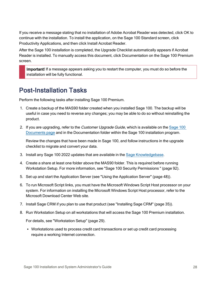If you receive a message stating that no installation of Adobe Acrobat Reader was detected, click OK to continue with the installation. To install the application, on the Sage 100 Standard screen, click Productivity Applications, and then click Install Acrobat Reader.

After the Sage 100 installation is completed, the Upgrade Checklist automatically appears if Acrobat Reader is installed. To manually access this document, click Documentation on the Sage 100 Premium screen.

Important! If a message appears asking you to restart the computer, you must do so before the installation will be fully functional.

### <span id="page-33-0"></span>Post-Installation Tasks

Perform the following tasks after installing Sage 100 Premium.

- 1. Create a backup of the MAS90 folder created when you installed Sage 100. The backup will be useful in case you need to reverse any changes; you may be able to do so without reinstalling the product.
- 2. If you are upgrading, refer to the Customer Upgrade Guide, which is available on the [Sage](http://cdn.na.sage.com/docs/en/customer/100erp/Documentation.htm) 100 [Documents](http://cdn.na.sage.com/docs/en/customer/100erp/Documentation.htm) page and in the Documentation folder within the Sage 100 installation program.

Review the changes that have been made in Sage 100, and follow instructions in the upgrade checklist to migrate and convert your data.

- 3. Install any Sage 100 2022 updates that are available in the Sage [Knowledgebase](https://support.na.sage.com/selfservice/microsites/msbrowse.do?UMBrowseSelection=SG_SAGE100ERP_1).
- 4. Create a share at least one folder above the MAS90 folder. This is required before running Workstation Setup. For more information, see "Sage 100 Security [Permissions](#page-97-0) " (page 92).
- 5. Set up and start the Application Server (see "Using the [Application](#page-53-0) Server" (page 48)).
- 6. To run Microsoft Script links, you must have the Microsoft Windows Script Host processor on your system. For information on installing the Microsoft Windows Script Host processor, refer to the Microsoft Download Center Web site.
- 7. Install Sage CRM if you plan to use that product (see ["Installing](#page-40-0) Sage CRM" (page 35)).
- 8. Run Workstation Setup on all workstations that will access the Sage 100 Premium installation.

For details, see ["Workstation](#page-34-0) Setup" (page 29).

• Workstations used to process credit card transactions or set up credit card processing require a working Internet connection.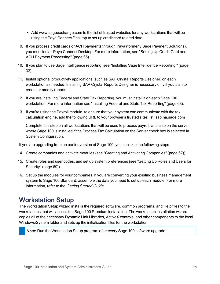- Add www.sageexchange.com to the list of trusted websites for any workstations that will be using the Paya Connect Desktop to set up credit card related data.
- 9. If you process credit cards or ACH payments through Paya (formerly Sage Payment Solutions), you must install Paya Connect Desktop. For more information, see ["Setting](#page-70-0) Up Credit Card and ACH Payment [Processing"](#page-70-0) (page 65).
- 10. If you plan to use Sage Intelligence reporting, see "Installing Sage [Intelligence](#page-38-1) Reporting " (page [33\).](#page-38-1)
- 11. Install optional productivity applications, such as SAP Crystal Reports Designer, on each workstation as needed. Installing SAP Crystal Reports Designer is necessary only if you plan to create or modify reports.
- 12. If you are installing Federal and State Tax Reporting, you must install it on each Sage 100 workstation. For more information see "Installing Federal and State Tax [Reporting"](#page-68-0) (page 63).
- 13. If you're using the Payroll module, to ensure that your system can communicate with the tax calculation engine, add the following URL to your browser's trusted sites list: sap.na.sage.com

Complete this step on all workstations that will be used to process payroll, and also on the server where Sage 100 is installed if the Process Tax Calculation on the Server check box is selected in System Configuration.

If you are upgrading from an earlier version of Sage 100, you can skip the following steps.

- 14. Create companies and activate modules (see "Creating and Activating [Companies"](#page-72-3) (page 67)).
- 15. Create roles and user codes, and set up system preferences (see ["Setting](#page-74-2) Up Roles and Users for [Security"](#page-74-2) (page 69)).
- 16. Set up the modules for your companies. If you are converting your existing business management system to Sage 100 Standard, assemble the data you need to set up each module. For more information, refer to the Getting Started Guide.

### <span id="page-34-0"></span>Workstation Setup

The Workstation Setup wizard installs the required software, common programs, and Help files to the workstations that will access the Sage 100 Premium installation. The workstation installation wizard copies all of the necessary Dynamic Link Libraries, ActiveX controls, and other components to the local Windows\System folder and sets up the initialization files for the workstation.

Note: Run the Workstation Setup program after every Sage 100 software upgrade.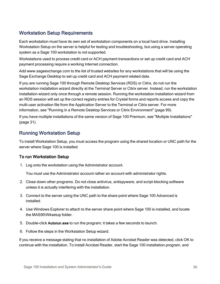#### Workstation Setup Requirements

Each workstation must have its own set of workstation components on a local hard drive. Installing Workstation Setup on the server is helpful for testing and troubleshooting, but using a server operating system as a Sage 100 workstation is not supported.

Workstations used to process credit card or ACH payment transactions or set up credit card and ACH payment processing require a working Internet connection.

Add www.sageexchange.com to the list of trusted websites for any workstations that will be using the Sage Exchange Desktop to set up credit card and ACH payment related data.

If you are running Sage 100 through Remote Desktop Services (RDS) or Citrix, do not run the workstation installation wizard directly at the Terminal Server or Citrix server. Instead, run the workstation installation wizard only once through a remote session. Running the workstation installation wizard from an RDS session will set up the correct registry entries for Crystal forms and reports access and copy the multi-user activation file from the Application Server to the Terminal or Citrix server. For more information, see "Running in a Remote Desktop Services or Citrix [Environment"](#page-104-0) (page 99).

If you have multiple installations of the same version of Sage 100 Premium, see "Multiple [Installations"](#page-36-0) [\(page](#page-36-0) 31).

#### Running Workstation Setup

To install Workstation Setup, you must access the program using the shared location or UNC path for the server where Sage 100 is installed.

#### To run Workstation Setup

1. Log onto the workstation using the Administrator account.

You must use the Administrator account rather an account with administrator rights.

- 2. Close down other programs. Do not close antivirus, antispyware, and script-blocking software unless it is actually interfering with the installation.
- 3. Connect to the server using the UNC path to the share point where Sage 100 Advanced is installed.
- 4. Use Windows Explorer to attach to the server share point where Sage 100 is installed, and locate the MAS90\Wksetup folder.
- 5. Double-click Autorun.exe to run the program; it takes a few seconds to launch.
- 6. Follow the steps in the Workstation Setup wizard.

If you receive a message stating that no installation of Adobe Acrobat Reader was detected, click OK to continue with the installation. To install Acrobat Reader, start the Sage 100 installation program, and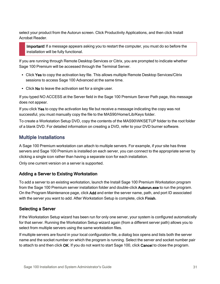select your product from the Autorun screen. Click Productivity Applications, and then click Install Acrobat Reader.

Important! If a message appears asking you to restart the computer, you must do so before the installation will be fully functional.

If you are running through Remote Desktop Services or Citrix, you are prompted to indicate whether Sage 100 Premium will be accessed through the Terminal Server.

- Click Yes to copy the activation key file. This allows multiple Remote Desktop Services/Citrix sessions to access Sage 100 Advanced at the same time.
- Click No to leave the activation set for a single user.

If you typed NO ACCESS at the Server field in the Sage 100 Premium Server Path page, this message does not appear.

If you click Yes to copy the activation key file but receive a message indicating the copy was not successful, you must manually copy the file to the MAS90/Home/Lib/Keys folder.

To create a Workstation Setup DVD, copy the contents of the MAS90\WKSETUP folder to the root folder of a blank DVD. For detailed information on creating a DVD, refer to your DVD burner software.

## Multiple Installations

A Sage 100 Premium workstation can attach to multiple servers. For example, if your site has three servers and Sage 100 Premium is installed on each server, you can connect to the appropriate server by clicking a single icon rather than having a separate icon for each installation.

Only one current version on a server is supported.

### Adding a Server to Existing Workstation

To add a server to an existing workstation, launch the Install Sage 100 Premium Workstation program from the Sage 100 Premium server installation folder and double-click Autorun.exe to run the program. On the Program Maintenance page, click Add and enter the server name, path, and port ID associated with the server you want to add. After Workstation Setup is complete, click Finish.

### Selecting a Server

If the Workstation Setup wizard has been run for only one server, your system is configured automatically for that server. Running the Workstation Setup wizard again (from a different server path) allows you to select from multiple servers using the same workstation files.

If multiple servers are found in your local configuration file, a dialog box opens and lists both the server name and the socket number on which the program is running. Select the server and socket number pair to attach to and then click OK. If you do not want to start Sage 100, click Cancel to close the program.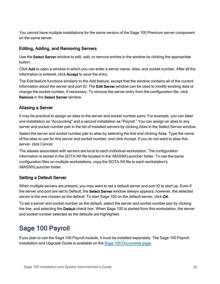You cannot have multiple installations for the same version of the Sage 100 Premium server component on the same server.

### Editing, Adding, and Removing Servers

Use the Select Server window to edit, add, or remove entries in the window by clicking the appropriate button.

Click Add to open a window in which you can enter a server name, alias, and socket number. After all the information is entered, click Accept to save the entry.

The Edit feature functions similarly to the Add feature, except that the window contains all of the current information about the server and port ID. The Edit Server window can be used to modify existing data or change the socket number, if necessary. To remove the server entry from the configuration file, click Remove in the Select Server window.

### Aliasing a Server

It may be practical to assign an alias to the server and socket number pairs. For example, you can label one installation as "Accounting" and a second installation as "Payroll." You can assign an alias to any server and socket number pair in the list of installed servers by clicking Alias in the Select Server window.

Select the server and socket number pair to alias by selecting the line and clicking Alias. Type the name of the alias to use for this server and socket number, and click Accept. If you do not want to alias this server, click Cancel.

The aliases associated with servers are local to each individual workstation. The configuration information is stored in the SOTA.INI file located in the \MAS90\Launcher folder. To use the same configuration files on multiple workstations, copy the SOTA.INI file to each workstation's \MAS90\Launcher folder.

## Setting a Default Server

When multiple servers are present, you may want to set a default server and port ID to start up. Even if the server and port are set to Default, the Select Server window always appears; however, the selected server is the one chosen as the default. To start Sage 100 on the default server, click OK.

To set a server and socket number as the default, select the server and socket number pair by clicking the line, and selecting the Default check box. When Sage 100 is started from this workstation, the server and socket number selected as the defaults are highlighted.

# Sage 100 Payroll

If you plan to use the Sage 100 Payroll module, it must be installed separately. The Sage 100 Payroll Installation and Upgrade Guide is available on the Sage [100 Documents](http://cdn.na.sage.com/docs/en/customer/100erp/Documentation.htm) page.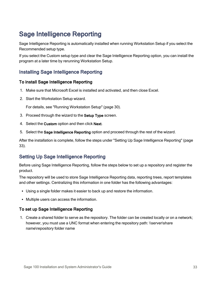# Sage Intelligence Reporting

Sage Intelligence Reporting is automatically installed when running Workstation Setup if you select the Recommended setup type.

If you select the Custom setup type and clear the Sage Intelligence Reporting option, you can install the program at a later time by rerunning Workstation Setup.

## Installing Sage Intelligence Reporting

#### To install Sage Intelligence Reporting

- 1. Make sure that Microsoft Excel is installed and activated, and then close Excel.
- 2. Start the Workstation Setup wizard.

For details, see "Running [Workstation](#page-35-0) Setup" (page 30).

- 3. Proceed through the wizard to the Setup Type screen.
- 4. Select the Custom option and then click Next.
- 5. Select the Sage Intelligence Reporting option and proceed through the rest of the wizard.

After the installation is complete, follow the steps under "Setting Up Sage [Intelligence](#page-38-0) Reporting" (page [33\).](#page-38-0)

## <span id="page-38-0"></span>Setting Up Sage Intelligence Reporting

Before using Sage Intelligence Reporting, follow the steps below to set up a repository and register the product.

The repository will be used to store Sage Intelligence Reporting data, reporting trees, report templates and other settings. Centralizing this information in one folder has the following advantages:

- Using a single folder makes it easier to back up and restore the information.
- Multiple users can access the information.

#### To set up Sage Intelligence Reporting

1. Create a shared folder to serve as the repository. The folder can be created locally or on a network; however, you must use a UNC format when entering the repository path: \\server\share name\repository folder name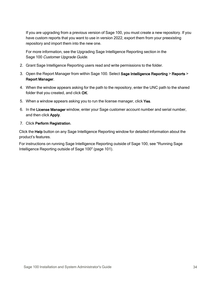If you are upgrading from a previous version of Sage 100, you must create a new repository. If you have custom reports that you want to use in version 2022, export them from your preexisting repository and import them into the new one.

For more information, see the Upgrading Sage Intelligence Reporting section in the Sage 100 Customer Upgrade Guide.

- 2. Grant Sage Intelligence Reporting users read and write permissions to the folder.
- 3. Open the Report Manager from within Sage 100. Select Sage Intelligence Reporting > Reports > Report Manager.
- 4. When the window appears asking for the path to the repository, enter the UNC path to the shared folder that you created, and click OK.
- 5. When a window appears asking you to run the license manager, click Yes.
- 6. In the License Manager window, enter your Sage customer account number and serial number, and then click Apply.
- 7. Click Perform Registration.

Click the Help button on any Sage Intelligence Reporting window for detailed information about the product's features.

For instructions on running Sage Intelligence Reporting outside of Sage 100, see ["Running](#page-106-0) Sage [Intelligence](#page-106-0) Reporting outside of Sage 100" (page 101).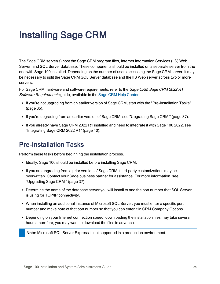# <span id="page-40-1"></span>Installing Sage CRM

The Sage CRM server(s) host the Sage CRM program files, Internet Information Services (IIS) Web Server, and SQL Server database. These components should be installed on a separate server from the one with Sage 100 installed. Depending on the number of users accessing the Sage CRM server, it may be necessary to split the Sage CRM SQL Server database and the IIS Web server across two or more servers.

For Sage CRM hardware and software requirements, refer to the Sage CRM Sage CRM 2022 R1 Software Requirements guide, available in the Sage CRM Help [Center.](http://help.sagecrm.com/)

- If you're not upgrading from an earlier version of Sage CRM, start with the ["Pre-Installation](#page-40-0) Tasks" [\(page](#page-40-0) 35).
- If you're upgrading from an earlier version of Sage CRM, see ["Upgrading](#page-42-0) Sage CRM " (page 37).
- If you already have Sage CRM 2022 R1 installed and need to integrate it with Sage 100 2022, see ["Integrating](#page-45-0) Sage CRM 2022 R1" (page 40).

# <span id="page-40-0"></span>Pre-Installation Tasks

Perform these tasks before beginning the installation process.

- Ideally, Sage 100 should be installed before installing Sage CRM.
- If you are upgrading from a prior version of Sage CRM, third-party customizations may be overwritten. Contact your Sage business partner for assistance. For more information, see ["Upgrading](#page-42-0) Sage CRM " (page 37).
- Determine the name of the database server you will install to and the port number that SQL Server is using for TCP/IP connectivity.
- When installing an additional instance of Microsoft SQL Server, you must enter a specific port number and make note of that port number so that you can enter it in CRM Company Options.
- Depending on your Internet connection speed, downloading the installation files may take several hours; therefore, you may want to download the files in advance.

Note: Microsoft SQL Server Express is not supported in a production environment.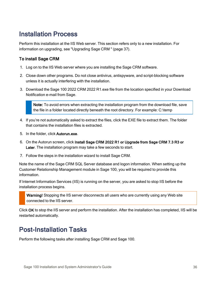# Installation Process

Perform this installation at the IIS Web server. This section refers only to a new installation. For information on upgrading, see ["Upgrading](#page-42-0) Sage CRM " (page 37).

### To install Sage CRM

- 1. Log on to the IIS Web server where you are installing the Sage CRM software.
- 2. Close down other programs. Do not close antivirus, antispyware, and script-blocking software unless it is actually interfering with the installation.
- 3. Download the Sage 100 2022 CRM 2022 R1.exe file from the location specified in your Download Notification e-mail from Sage.

Note: To avoid errors when extracting the installation program from the download file, save the file in a folder located directly beneath the root directory. For example: C:\temp

- 4. If you're not automatically asked to extract the files, click the EXE file to extract them. The folder that contains the installation files is extracted.
- 5. In the folder, click Autorun.exe.
- 6. On the Autorun screen, click Install Sage CRM 2022 R1 or Upgrade from Sage CRM 7.3 R3 or Later. The installation program may take a few seconds to start.
- 7. Follow the steps in the installation wizard to install Sage CRM.

Note the name of the Sage CRM SQL Server database and logon information. When setting up the Customer Relationship Management module in Sage 100, you will be required to provide this information.

If Internet Information Services (IIS) is running on the server, you are asked to stop IIS before the installation process begins.

Warning! Stopping the IIS server disconnects all users who are currently using any Web site connected to the IIS server.

Click OK to stop the IIS server and perform the installation. After the installation has completed, IIS will be restarted automatically.

# Post-Installation Tasks

Perform the following tasks after installing Sage CRM and Sage 100.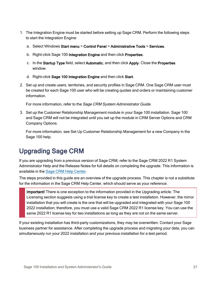- 1. The Integration Engine must be started before setting up Sage CRM. Perform the following steps to start the Integration Engine:
	- a. Select Windows Start menu > Control Panel > Administrative Tools > Services.
	- b. Right-click Sage 100 Integration Engine and then click Properties.
	- c. In the Startup Type field, select Automatic, and then click Apply. Close the Properties window.
	- d. Right-click Sage 100 Integration Engine and then click Start.
- 2. Set up and create users, territories, and security profiles in Sage CRM. One Sage CRM user must be created for each Sage 100 user who will be creating quotes and orders or maintaining customer information.

For more information, refer to the Sage CRM System Administrator Guide.

3. Set up the Customer Relationship Management module in your Sage 100 installation. Sage 100 and Sage CRM will not be integrated until you set up the module in CRM Server Options and CRM Company Options.

For more information, see Set Up Customer Relationship Management for a new Company in the Sage 100 help.

# <span id="page-42-0"></span>Upgrading Sage CRM

If you are upgrading from a previous version of Sage CRM, refer to the Sage CRM 2022 R1 System Administrator Help and the Release Notes for full details on completing the upgrade. This information is available in the Sage [CRM Help](http://help.sagecrm.com/) Center.

The steps provided in this guide are an overview of the upgrade process. This chapter is not a substitute for the information in the Sage CRM Help Center, which should serve as your reference.

Important! There is one exception to the information provided in the Upgrading article. The Licensing section suggests using a trial license key to create a test installation. However, the mirror installation that you will create is the one that will be upgraded and integrated with your Sage 100 2022 installation; therefore, you must use a valid Sage CRM 2022 R1 license key. You can use the same 2022 R1 license key for two installations as long as they are not on the same server.

If your existing installation has third-party customizations, they may be overwritten. Contact your Sage business partner for assistance. After completing the upgrade process and migrating your data, you can simultaneously run your 2022 installation and your previous installation for a test period.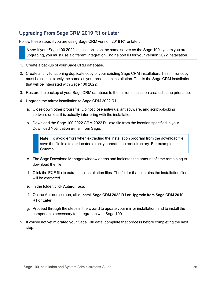## <span id="page-43-0"></span>Upgrading From Sage CRM 2019 R1 or Later

Follow these steps if you are using Sage CRM version 2019 R1 or later.

Note: If your Sage 100 2022 installation is on the same server as the Sage 100 system you are upgrading, you must use a different Integration Engine port ID for your version 2022 installation.

- 1. Create a backup of your Sage CRM database.
- 2. Create a fully functioning duplicate copy of your existing Sage CRM installation. This mirror copy must be set up exactly the same as your production installation. This is the Sage CRM installation that will be integrated with Sage 100 2022.
- 3. Restore the backup of your Sage CRM database to the mirror installation created in the prior step.
- 4. Upgrade the mirror installation to Sage CRM 2022 R1.
	- a. Close down other programs. Do not close antivirus, antispyware, and script-blocking software unless it is actually interfering with the installation.
	- b. Download the Sage 100 2022 CRM 2022 R1.exe file from the location specified in your Download Notification e-mail from Sage.

Note: To avoid errors when extracting the installation program from the download file, save the file in a folder located directly beneath the root directory. For example: C:\temp

- c. The Sage Download Manager window opens and indicates the amount of time remaining to download the file.
- d. Click the EXE file to extract the installation files. The folder that contains the installation files will be extracted.
- e. In the folder, click Autorun.exe.
- f. On the Autorun screen, click Install Sage CRM 2022 R1 or Upgrade from Sage CRM 2019 R1 or Later.
- g. Proceed through the steps in the wizard to update your mirror installation, and to install the components necessary for integration with Sage 100.
- 5. If you've not yet migrated your Sage 100 data, complete that process before completing the next step.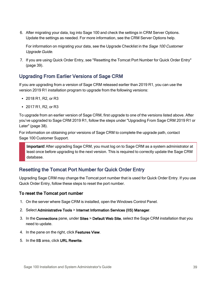6. After migrating your data, log into Sage 100 and check the settings in CRM Server Options. Update the settings as needed. For more information, see the CRM Server Options help.

For information on migrating your data, see the Upgrade Checklist in the *Sage 100 Customer* Upgrade Guide.

7. If you are using Quick Order Entry, see ["Resetting](#page-44-0) the Tomcat Port Number for Quick Order Entry" [\(page](#page-44-0) 39).

## Upgrading From Earlier Versions of Sage CRM

If you are upgrading from a version of Sage CRM released earlier than 2019 R1, you can use the version 2019 R1 installation program to upgrade from the following versions:

- $\cdot$  2018 R1, R2, or R3
- $\cdot$  2017 R1, R2, or R3

To upgrade from an earlier version of Sage CRM, first upgrade to one of the versions listed above. After you've upgraded to Sage CRM 2019 R1, follow the steps under ["Upgrading](#page-43-0) From Sage CRM 2019 R1 or [Later"](#page-43-0) (page 38).

For information on obtaining prior versions of Sage CRM to complete the upgrade path, contact Sage 100 Customer Support.

Important! After upgrading Sage CRM, you must log on to Sage CRM as a system administrator at least once before upgrading to the next version. This is required to correctly update the Sage CRM database.

## <span id="page-44-0"></span>Resetting the Tomcat Port Number for Quick Order Entry

Upgrading Sage CRM may change the Tomcat port number that is used for Quick Order Entry. If you use Quick Order Entry, follow these steps to reset the port number.

#### To reset the Tomcat port number

- 1. On the server where Sage CRM is installed, open the Windows Control Panel.
- 2. Select Administrative Tools > Internet Information Services (IIS) Manager.
- 3. In the Connections pane, under Sites > Default Web Site, select the Sage CRM installation that you need to update.
- 4. In the pane on the right, click Features View.
- 5. In the IIS area, click URL Rewrite.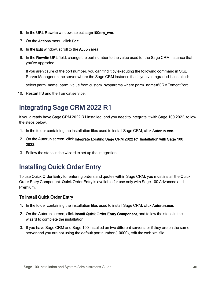- 6. In the URL Rewrite window, select sage100erp\_rwc.
- 7. On the Actions menu, click Edit.
- 8. In the Edit window, scroll to the Action area.
- 9. In the Rewrite URL field, change the port number to the value used for the Sage CRM instance that you've upgraded.

If you aren't sure of the port number, you can find it by executing the following command in SQL Server Manager on the server where the Sage CRM instance that's you've upgraded is installed:

select parm\_name, parm\_value from custom\_sysparams where parm\_name='CRMTomcatPort'

<span id="page-45-0"></span>10. Restart IIS and the Tomcat service.

# Integrating Sage CRM 2022 R1

If you already have Sage CRM 2022 R1 installed, and you need to integrate it with Sage 100 2022, follow the steps below.

- 1. In the folder containing the installation files used to install Sage CRM, click Autorun.exe.
- 2. On the Autorun screen, click Integrate Existing Sage CRM 2022 R1 Installation with Sage 100 2022.
- 3. Follow the steps in the wizard to set up the integration.

# Installing Quick Order Entry

To use Quick Order Entry for entering orders and quotes within Sage CRM, you must install the Quick Order Entry Component. Quick Order Entry is available for use only with Sage 100 Advanced and Premium.

#### To install Quick Order Entry

- 1. In the folder containing the installation files used to install Sage CRM, click Autorun.exe.
- 2. On the Autorun screen, click Install Quick Order Entry Component, and follow the steps in the wizard to complete the installation.
- 3. If you have Sage CRM and Sage 100 installed on two different servers, or if they are on the same server and you are not using the default port number (10000), edit the web.xml file: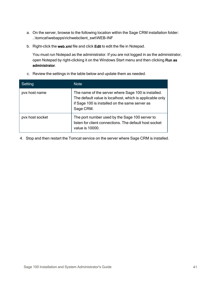- a. On the server, browse to the following location within the Sage CRM installation folder: ..\tomcat\webapps\richwebclient\_swt\WEB-INF
- b. Right-click the web.xml file and click Edit to edit the file in Notepad.

You must run Notepad as the administrator. If you are not logged in as the administrator, open Notepad by right-clicking it on the Windows Start menu and then clicking Run as administrator.

c. Review the settings in the table below and update them as needed.

| Setting         | <b>Note</b>                                                                                                                                                                    |
|-----------------|--------------------------------------------------------------------------------------------------------------------------------------------------------------------------------|
| pvx host name   | The name of the server where Sage 100 is installed.<br>The default value is localhost, which is applicable only<br>if Sage 100 is installed on the same server as<br>Sage CRM. |
| pvx host socket | The port number used by the Sage 100 server to<br>listen for client connections. The default host socket<br>value is 10000.                                                    |

4. Stop and then restart the Tomcat service on the server where Sage CRM is installed.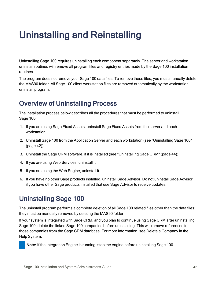# Uninstalling and Reinstalling

Uninstalling Sage 100 requires uninstalling each component separately. The server and workstation uninstall routines will remove all program files and registry entries made by the Sage 100 installation routines.

The program does not remove your Sage 100 data files. To remove these files, you must manually delete the MAS90 folder. All Sage 100 client workstation files are removed automatically by the workstation uninstall program.

# Overview of Uninstalling Process

The installation process below describes all the procedures that must be performed to uninstall Sage 100.

- 1. If you are using Sage Fixed Assets, uninstall Sage Fixed Assets from the server and each workstation.
- 2. Uninstall Sage 100 from the Application Server and each workstation (see ["Uninstalling](#page-47-0) Sage 100" [\(page](#page-47-0) 42)).
- 3. Uninstall the Sage CRM software, if it is installed (see ["Uninstalling](#page-49-0) Sage CRM" (page 44)).
- 4. If you are using Web Services, uninstall it.
- 5. If you are using the Web Engine, uninstall it.
- 6. If you have no other Sage products installed, uninstall Sage Advisor. Do not uninstall Sage Advisor if you have other Sage products installed that use Sage Advisor to receive updates.

# <span id="page-47-0"></span>Uninstalling Sage 100

The uninstall program performs a complete deletion of all Sage 100 related files other than the data files; they must be manually removed by deleting the MAS90 folder.

If your system is integrated with Sage CRM, and you plan to continue using Sage CRM after uninstalling Sage 100, delete the linked Sage 100 companies before uninstalling. This will remove references to those companies from the Sage CRM database. For more information, see Delete a Company in the Help System.

Note: If the Integration Engine is running, stop the engine before uninstalling Sage 100.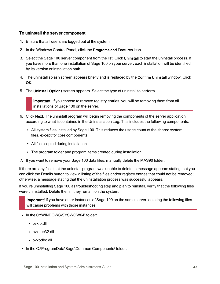#### To uninstall the server component

- 1. Ensure that all users are logged out of the system.
- 2. In the Windows Control Panel, click the Programs and Features icon.
- 3. Select the Sage 100 server component from the list. Click Uninstall to start the uninstall process. If you have more than one installation of Sage 100 on your server, each installation will be identified by its version or installation path.
- 4. The uninstall splash screen appears briefly and is replaced by the Confirm Uninstall window. Click OK.
- 5. The Uninstall Options screen appears. Select the type of uninstall to perform.

Important! If you choose to remove registry entries, you will be removing them from all installations of Sage 100 on the server.

- 6. Click Next. The uninstall program will begin removing the components of the server application according to what is contained in the Uninstallation Log. This includes the following components:
	- All system files installed by Sage 100. This reduces the usage count of the shared system files, except for core components.
	- All files copied during installation
	- The program folder and program items created during installation
- 7. If you want to remove your Sage 100 data files, manually delete the MAS90 folder.

If there are any files that the uninstall program was unable to delete, a message appears stating that you can click the Details button to view a listing of the files and/or registry entries that could not be removed; otherwise, a message stating that the uninstallation process was successful appears.

If you're uninstalling Sage 100 as troubleshooting step and plan to reinstall, verify that the following files were uninstalled. Delete them if they remain on the system.

Important! If you have other instances of Sage 100 on the same server, deleting the following files will cause problems with those instances.

- In the C:\WINDOWS\SYSWOW64\ folder:
	- pvxio.dll
	- pvxsec32.dll
	- pvxodbc.dll
- In the C:\ProgramData\Sage\Common Components\ folder: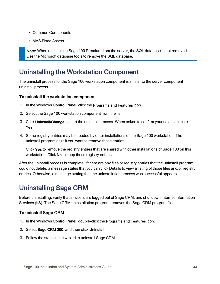- Common Components
- MAS Fixed Assets

Note: When uninstalling Sage 100 Premium from the server, the SQL database is not removed. Use the Microsoft database tools to remove the SQL database.

# Uninstalling the Workstation Component

The uninstall process for the Sage 100 workstation component is similar to the server component uninstall process.

#### To uninstall the workstation component

- 1. In the Windows Control Panel, click the Programs and Features icon.
- 2. Select the Sage 100 workstation component from the list.
- 3. Click Uninstall/Change to start the uninstall process. When asked to confirm your selection, click Yes.
- 4. Some registry entries may be needed by other installations of the Sage 100 workstation. The uninstall program asks if you want to remove those entries.

Click Yes to remove the registry entries that are shared with other installations of Sage 100 on this workstation. Click No to keep those registry entries.

After the uninstall process is complete, if there are any files or registry entries that the uninstall program could not delete, a message states that you can click Details to view a listing of those files and/or registry entries. Otherwise, a message stating that the uninstallation process was successful appears.

# <span id="page-49-0"></span>Uninstalling Sage CRM

Before uninstalling, verify that all users are logged out of Sage CRM, and shut down Internet Information Services (IIS). The Sage CRM uninstallation program removes the Sage CRM program files.

## To uninstall Sage CRM

- 1. In the Windows Control Panel, double-click the Programs and Features icon.
- 2. Select Sage CRM 200, and then click Uninstall.
- 3. Follow the steps in the wizard to uninstall Sage CRM.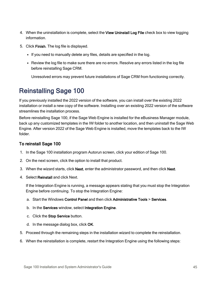- 4. When the uninstallation is complete, select the View Uninstall Log File check box to view logging information.
- 5. Click Finish. The log file is displayed.
	- If you need to manually delete any files, details are specified in the log.
	- Review the log file to make sure there are no errors. Resolve any errors listed in the log file before reinstalling Sage CRM.

Unresolved errors may prevent future installations of Sage CRM from functioning correctly.

# Reinstalling Sage 100

If you previously installed the 2022 version of the software, you can install over the existing 2022 installation or install a new copy of the software. Installing over an existing 2022 version of the software streamlines the installation process.

Before reinstalling Sage 100, if the Sage Web Engine is installed for the eBusiness Manager module, back up any customized templates in the IW folder to another location, and then uninstall the Sage Web Engine. After version 2022 of the Sage Web Engine is installed, move the templates back to the IW folder.

## To reinstall Sage 100

- 1. In the Sage 100 installation program Autorun screen, click your edition of Sage 100.
- 2. On the next screen, click the option to install that product.
- 3. When the wizard starts, click Next, enter the administrator password, and then click Next.
- 4. Select Reinstall and click Next.

If the Integration Engine is running, a message appears stating that you must stop the Integration Engine before continuing. To stop the Integration Engine:

- a. Start the Windows Control Panel and then click Administrative Tools > Services.
- b. In the Services window, select Integration Engine.
- c. Click the Stop Service button.
- d. In the message dialog box, click OK.
- 5. Proceed through the remaining steps in the installation wizard to complete the reinstallation.
- 6. When the reinstallation is complete, restart the Integration Engine using the following steps: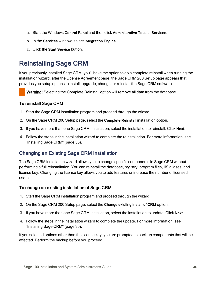- a. Start the Windows Control Panel and then click Administrative Tools > Services.
- b. In the Services window, select Integration Engine.
- c. Click the Start Service button.

# Reinstalling Sage CRM

If you previously installed Sage CRM, you'll have the option to do a complete reinstall when running the installation wizard. after the License Agreement page, the Sage CRM 200 Setup page appears that provides you setup options to install, upgrade, change, or reinstall the Sage CRM software.

Warning! Selecting the Complete Reinstall option will remove all data from the database.

#### To reinstall Sage CRM

- 1. Start the Sage CRM installation program and proceed through the wizard.
- 2. On the Sage CRM 200 Setup page, select the Complete Reinstall installation option.
- 3. If you have more than one Sage CRM installation, select the installation to reinstall. Click Next.
- 4. Follow the steps in the installation wizard to complete the reinstallation. For more information, see ["Installing](#page-40-1) Sage CRM" (page 35).

## Changing an Existing Sage CRM Installation

The Sage CRM installation wizard allows you to change specific components in Sage CRM without performing a full reinstallation. You can reinstall the database, registry, program files, IIS aliases, and license key. Changing the license key allows you to add features or increase the number of licensed users.

#### To change an existing installation of Sage CRM

- 1. Start the Sage CRM installation program and proceed through the wizard.
- 2. On the Sage CRM 200 Setup page, select the Change existing install of CRM option.
- 3. If you have more than one Sage CRM installation, select the installation to update. Click Next.
- 4. Follow the steps in the installation wizard to complete the update. For more information, see ["Installing](#page-40-1) Sage CRM" (page 35).

If you selected options other than the license key, you are prompted to back up components that will be affected. Perform the backup before you proceed.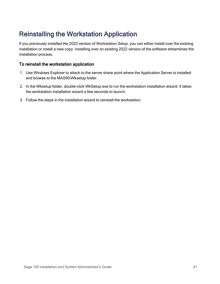# Reinstalling the Workstation Application

If you previously installed the 2022 version of Workstation Setup, you can either install over the existing installation or install a new copy. Installing over an existing 2022 version of the software streamlines the installation process.

#### To reinstall the workstation application

- 1. Use Windows Explorer to attach to the server share point where the Application Server is installed and browse to the MAS90\Wksetup folder.
- 2. In the Wksetup folder, double-click WkSetup.exe to run the workstation installation wizard. It takes the workstation installation wizard a few seconds to launch.
- 3. Follow the steps in the installation wizard to reinstall the workstation.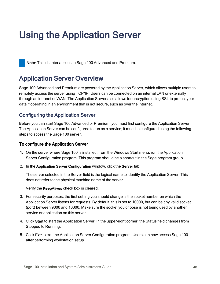# Using the Application Server

Note: This chapter applies to Sage 100 Advanced and Premium.

# Application Server Overview

Sage 100 Advanced and Premium are powered by the Application Server, which allows multiple users to remotely access the server using TCP/IP. Users can be connected on an internal LAN or externally through an intranet or WAN. The Application Server also allows for encryption using SSL to protect your data if operating in an environment that is not secure, such as over the Internet.

## <span id="page-53-0"></span>Configuring the Application Server

Before you can start Sage 100 Advanced or Premium, you must first configure the Application Server. The Application Server can be configured to run as a service; it must be configured using the following steps to access the Sage 100 server.

#### To configure the Application Server

- 1. On the server where Sage 100 is installed, from the Windows Start menu, run the Application Server Configuration program. This program should be a shortcut in the Sage program group.
- 2. In the Application Server Configuration window, click the Server tab.

The server selected in the Server field is the logical name to identify the Application Server. This does not refer to the physical machine name of the server.

Verify the KeepAlives check box is cleared.

- 3. For security purposes, the first setting you should change is the socket number on which the Application Server listens for requests. By default, this is set to 10000, but can be any valid socket (port) between 9000 and 10000. Make sure the socket you choose is not being used by another service or application on this server.
- 4. Click Start to start the Application Server. In the upper-right corner, the Status field changes from Stopped to Running.
- 5. Click Exit to exit the Application Server Configuration program. Users can now access Sage 100 after performing workstation setup.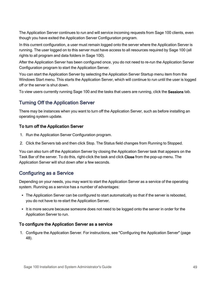The Application Server continues to run and will service incoming requests from Sage 100 clients, even though you have exited the Application Server Configuration program.

In this current configuration, a user must remain logged onto the server where the Application Server is running. The user logged on to this server must have access to all resources required by Sage 100 (all rights to all program and data folders in Sage 100).

After the Application Server has been configured once, you do not need to re-run the Application Server Configuration program to start the Application Server.

You can start the Application Server by selecting the Application Server Startup menu item from the Windows Start menu. This starts the Application Server, which will continue to run until the user is logged off or the server is shut down.

To view users currently running Sage 100 and the tasks that users are running, click the Sessions tab.

## Turning Off the Application Server

There may be instances when you want to turn off the Application Server, such as before installing an operating system update.

### To turn off the Application Server

- 1. Run the Application Server Configuration program.
- 2. Click the Servers tab and then click Stop. The Status field changes from Running to Stopped.

You can also turn off the Application Server by closing the Application Server task that appears on the Task Bar of the server. To do this, right-click the task and click Close from the pop-up menu. The Application Server will shut down after a few seconds.

## Configuring as a Service

Depending on your needs, you may want to start the Application Server as a service of the operating system. Running as a service has a number of advantages:

- The Application Server can be configured to start automatically so that if the server is rebooted, you do not have to re-start the Application Server.
- It is more secure because someone does not need to be logged onto the server in order for the Application Server to run.

### To configure the Application Server as a service

1. Configure the Application Server. For instructions, see ["Configuring](#page-53-0) the Application Server" (page [48\).](#page-53-0)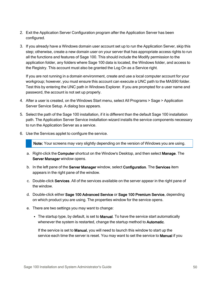- 2. Exit the Application Server Configuration program after the Application Server has been configured.
- 3. If you already have a Windows domain user account set up to run the Application Server, skip this step; otherwise, create a new domain user on your server that has appropriate access rights to run all the functions and features of Sage 100. This should include the Modify permission to the application folder, any folders where Sage 100 data is located, the Windows folder, and access to the Registry. This account must also be granted the Log On as a Service right.

If you are not running in a domain environment, create and use a local computer account for your workgroup; however, you must ensure this account can execute a UNC path to the MAS90 folder. Test this by entering the UNC path in Windows Explorer. If you are prompted for a user name and password, the account is not set up properly.

- 4. After a user is created, on the Windows Start menu, select All Programs > Sage > Application Server Service Setup. A dialog box appears.
- 5. Select the path of the Sage 100 installation, if it is different than the default Sage 100 installation path. The Application Server Service installation wizard installs the service components necessary to run the Application Server as a service.
- 6. Use the Services applet to configure the service.

Note: Your screens may vary slightly depending on the version of Windows you are using.

- a. Right-click the Computer shortcut on the Window's Desktop, and then select Manage. The Server Manager window opens.
- b. In the left pane of the Server Manager window, select Configuration. The Services item appears in the right pane of the window.
- c. Double-click Services. All of the services available on the server appear in the right pane of the window.
- d. Double-click either Sage 100 Advanced Service or Sage 100 Premium Service, depending on which product you are using. The properties window for the service opens.
- e. There are two settings you may want to change:
	- The startup type, by default, is set to Manual. To have the service start automatically whenever the system is restarted, change the startup method to Automatic.

If the service is set to Manual, you will need to launch this window to start up the service each time the server is reset. You may want to set the service to **Manual** if you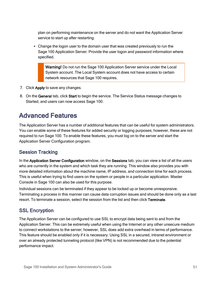plan on performing maintenance on the server and do not want the Application Server service to start up after restarting.

• Change the logon user to the domain user that was created previously to run the Sage 100 Application Server. Provide the user logon and password information where specified.

Warning! Do not run the Sage 100 Application Server service under the Local System account. The Local System account does not have access to certain network resources that Sage 100 requires.

- 7. Click Apply to save any changes.
- 8. On the General tab, click Start to begin the service. The Service Status message changes to Started, and users can now access Sage 100.

# Advanced Features

The Application Server has a number of additional features that can be useful for system administrators. You can enable some of these features for added security or logging purposes; however, these are not required to run Sage 100. To enable these features, you must log on to the server and start the Application Server Configuration program.

## Session Tracking

In the Application Server Configuration window, on the Sessions tab, you can view a list of all the users who are currently in the system and which task they are running. This window also provides you with more detailed information about the machine name, IP address, and connection time for each process. This is useful when trying to find users on the system or people in a particular application. Master Console in Sage 100 can also be used for this purpose.

Individual sessions can be terminated if they appear to be locked up or become unresponsive. Terminating a process in this manner can cause data corruption issues and should be done only as a last resort. To terminate a session, select the session from the list and then click Terminate.

## SSL Encryption

The Application Server can be configured to use SSL to encrypt data being sent to and from the Application Server. This can be extremely useful when using the Internet or any other unsecure medium to connect workstations to the server; however, SSL does add extra overhead in terms of performance. This feature should be enabled only if it is necessary. Using SSL in a secured, intranet environment or over an already protected tunneling protocol (like VPN) is not recommended due to the potential performance impact.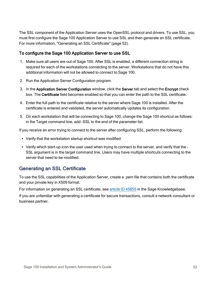The SSL component of the Application Server uses the OpenSSL protocol and drivers. To use SSL, you must first configure the Sage 100 Application Server to use SSL and then generate an SSL certificate. For more information, ["Generating](#page-57-0) an SSL Certificate" (page 52).

### To configure the Sage 100 Application Server to use SSL

- 1. Make sure all users are out of Sage 100. After SSL is enabled, a different connection string is required for each of the workstations connecting to the server. Workstations that do not have this additional information will not be allowed to connect to Sage 100.
- 2. Run the Application Server Configuration program.
- 3. In the Application Server Configuration window, click the Server tab and select the Encrypt check box. The Certificate field becomes enabled so that you can enter the path to the SSL certificate.
- 4. Enter the full path to the certificate relative to the server where Sage 100 is installed. After the certificate is entered and validated, the server automatically updates its configuration.
- 5. On each workstation that will be connecting to Sage 100, change the Sage 100 shortcut as follows: in the Target command line, add -SSL to the end of the parameter list.

If you receive an error trying to connect to the server after configuring SSL, perform the following:

- Verify that the workstation startup shortcut was modified.
- Verify which start-up icon the user used when trying to connect to the server, and verify that the -SSL argument is in the target command line. Users may have multiple shortcuts connecting to the server that need to be modified.

## <span id="page-57-0"></span>Generating an SSL Certificate

To use the SSL capabilities of the Application Server, create a .pem file that contains both the certificate and your private key in X509 format.

For information on generating an SSL certificate, see article ID [45855](https://support.na.sage.com/selfservice/viewdocument.do?noCount=true&externalId=45855) in the Sage Knowledgebase.

If you are unfamiliar with generating a certificate for secure transactions, consult a network consultant or business partner.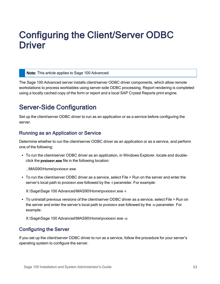# Configuring the Client/Server ODBC **Driver**

Note: This article applies to Sage 100 Advanced.

The Sage 100 Advanced server installs client/server ODBC driver components, which allow remote workstations to process worktables using server-side ODBC processing. Report rendering is completed using a locally cached copy of the form or report and a local SAP Crystal Reports print engine.

# Server-Side Configuration

Set up the client/server ODBC driver to run as an application or as a service before configuring the server.

## Running as an Application or Service

Determine whether to run the client/server ODBC driver as an application or as a service, and perform one of the following:

• To run the client/server ODBC driver as an application, in Windows Explorer, locate and doubleclick the pvxiosvr.exe file in the following location:

..\MAS90\Home\pvxiosvr.exe

• To run the client/server ODBC driver as a service, select File > Run on the server and enter the server's local path to pvxiosvr.exe followed by the -i parameter. For example:

X:\Sage\Sage 100 Advanced\MAS90\Home\pvxiosvr.exe -i

• To uninstall previous versions of the client/server ODBC driver as a service, select File > Run on the server and enter the server's local path to pvxiosvr.exe followed by the -u parameter. For example:

X:\Sage\Sage 100 Advanced\MAS90\Home\pvxiosvr.exe -u

## Configuring the Server

If you set up the client/server ODBC driver to run as a service, follow the procedure for your server's operating system to configure the server.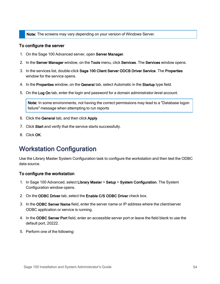Note: The screens may vary depending on your version of Windows Server.

#### To configure the server

- 1. On the Sage 100 Advanced server, open Server Manager.
- 2. In the Server Manager window, on the Tools menu, click Services. The Services window opens.
- 3. In the services list, double-click Sage 100 Client Server ODCB Driver Service. The Properties window for the service opens.
- 4. In the Properties window, on the General tab, select Automatic in the Startup type field.
- 5. On the Log On tab, enter the login and password for a domain administrator-level account.

Note: In some environments, not having the correct permissions may lead to a "Database logon failure" message when attempting to run reports

- 6. Click the General tab, and then click Apply.
- 7. Click Start and verify that the service starts successfully.
- 8. Click OK.

# Workstation Configuration

Use the Library Master System Configuration task to configure the workstation and then test the ODBC data source.

#### To configure the workstation

- 1. In Sage 100 Advanced, select Library Master > Setup > System Configuration. The System Configuration window opens.
- 2. On the ODBC Driver tab, select the Enable C/S ODBC Driver check box.
- 3. In the ODBC Server Name field, enter the server name or IP address where the client/server ODBC application or service is running.
- 4. In the ODBC Server Port field, enter an accessible server port or leave the field blank to use the default port, 20222.
- 5. Perform one of the following: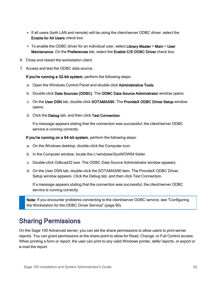- If all users (both LAN and remote) will be using the client/server ODBC driver, select the Enable for All Users check box.
- To enable the ODBC driver for an individual user, select Library Master > Main > User Maintenance. On the Preferences tab, select the Enable C/S ODBC Driver check box.
- 6. Close and restart the workstation client.
- 7. Access and test the ODBC data source.

If you're running a 32-bit system, perform the following steps:

- a. Open the Windows Control Panel and double-click Administrative Tools.
- b. Double-click Data Sources (ODBC). The ODBC Data Source Administrator window opens.
- c. On the User DSN tab, double-click SOTAMAS90. The ProvideX ODBC Driver Setup window opens.
- d. Click the Debug tab, and then click Test Connection.

If a message appears stating that the connection was successful, the client/server ODBC service is running correctly.

If you're running on a 64-bit system, perform the following steps:

- a. On the Windows desktop, double-click the Computer icon.
- b. In the Computer window, locate the c:\windows\SysWOW64 folder.
- c. Double-click Odbcad32.exe. The ODBC Data Source Administrator window appears.
- d. On the User DSN tab, double-click the SOTAMAS90 item. The ProvideX ODBC Driver Setup window appears. Click the Debug tab, and then click Test Connection.

If a message appears stating that the connection was successful, the client/server ODBC service is running correctly.

Note: If you encounter problems connecting to the client/server ODBC service, see ["Configuring](#page-95-0)" the [Workstation](#page-95-0) for the ODBC Driver Service" (page 90).

# Sharing Permissions

On the Sage 100 Advanced server, you can set the share permissions to allow users to print server reports. You can grant permissions at the share point to allow for Read, Change, or Full Control access. When printing a form or report, the user can print to any valid Windows printer, defer reports, or export or e-mail the report.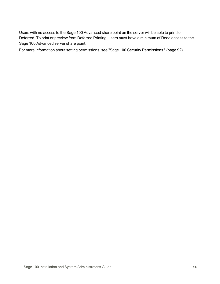Users with no access to the Sage 100 Advanced share point on the server will be able to print to Deferred. To print or preview from Deferred Printing, users must have a minimum of Read access to the Sage 100 Advanced server share point.

For more information about setting permissions, see "Sage 100 Security [Permissions](#page-97-0) " (page 92).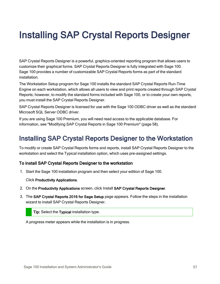# Installing SAP Crystal Reports Designer

SAP Crystal Reports Designer is a powerful, graphics-oriented reporting program that allows users to customize their graphical forms. SAP Crystal Reports Designer is fully integrated with Sage 100. Sage 100 provides a number of customizable SAP Crystal Reports forms as part of the standard installation.

The Workstation Setup program for Sage 100 installs the standard SAP Crystal Reports Run-Time Engine on each workstation, which allows all users to view and print reports created through SAP Crystal Reports; however, to modify the standard forms included with Sage 100, or to create your own reports, you must install the SAP Crystal Reports Designer.

SAP Crystal Reports Designer is licensed for use with the Sage 100 ODBC driver as well as the standard Microsoft SQL Server ODBC driver.

If you are using Sage 100 Premium, you will need read access to the applicable database. For information, see ["Modifying](#page-63-0) SAP Crystal Reports in Sage 100 Premium" (page 58).

# Installing SAP Crystal Reports Designer to the Workstation

To modify or create SAP Crystal Reports forms and reports, install SAP Crystal Reports Designer to the workstation and select the Typical installation option, which uses pre-assigned settings.

### To install SAP Crystal Reports Designer to the workstation

1. Start the Sage 100 installation program and then select your edition of Sage 100.

#### Click Productivity Applications.

- 2. On the Productivity Applications screen, click Install SAP Crystal Reports Designer.
- 3. The SAP Crystal Reports 2016 for Sage Setup page appears. Follow the steps in the installation wizard to install SAP Crystal Reports Designer.

Tip: Select the Typical installation type.

A progress meter appears while the installation is in progress.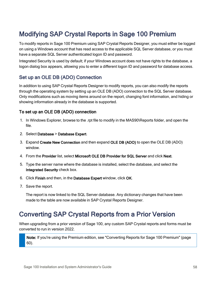# <span id="page-63-0"></span>Modifying SAP Crystal Reports in Sage 100 Premium

To modify reports in Sage 100 Premium using SAP Crystal Reports Designer, you must either be logged on using a Windows account that has read access to the applicable SQL Server database, or you must have a separate SQL Server authenticated logon ID and password.

Integrated Security is used by default; if your Windows account does not have rights to the database, a logon dialog box appears, allowing you to enter a different logon ID and password for database access.

## Set up an OLE DB (ADO) Connection

In addition to using SAP Crystal Reports Designer to modify reports, you can also modify the reports through the operating system by setting up an OLE DB (ADO) connection to the SQL Server database. Only modifications such as moving items around on the report, changing font information, and hiding or showing information already in the database is supported.

### To set up an OLE DB (ADO) connection

- 1. In Windows Explorer, browse to the .rpt file to modify in the MAS90\Reports folder, and open the file.
- 2. Select Database > Database Expert.
- 3. Expand Create New Connection and then expand OLE DB (ADO) to open the OLE DB (ADO) window.
- 4. From the Provider list, select Microsoft OLE DB Provider for SQL Server and click Next.
- 5. Type the server name where the database is installed, select the database, and select the Integrated Security check box.
- 6. Click Finish and then, in the Database Expert window, click OK.
- 7. Save the report.

The report is now linked to the SQL Server database. Any dictionary changes that have been made to the table are now available in SAP Crystal Reports Designer.

# Converting SAP Crystal Reports from a Prior Version

When upgrading from a prior version of Sage 100, any custom SAP Crystal reports and forms must be converted to run in version 2022.

Note: If you're using the Premium edition, see ["Converting](#page-65-0) Reports for Sage 100 Premium" (page [60\).](#page-65-0)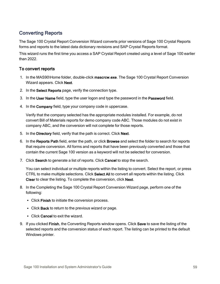## Converting Reports

The Sage 100 Crystal Report Conversion Wizard converts prior versions of Sage 100 Crystal Reports forms and reports to the latest data dictionary revisions and SAP Crystal Reports format.

This wizard runs the first time you access a SAP Crystal Report created using a level of Sage 100 earlier than 2022.

### To convert reports

- 1. In the MAS90\Home folder, double-click mascrcw.exe. The Sage 100 Crystal Report Conversion Wizard appears. Click Next.
- 2. In the Select Reports page, verify the connection type.
- 3. In the User Name field, type the user logon and type the password in the Password field.
- 4. In the Company field, type your company code in uppercase.

Verify that the company selected has the appropriate modules installed. For example, do not convert Bill of Materials reports for demo company code ABC. Those modules do not exist in company ABC, and the conversion will not complete for those reports.

- 5. In the Directory field, verify that the path is correct. Click Next.
- 6. In the Reports Path field, enter the path, or click Browse and select the folder to search for reports that require conversion. All forms and reports that have been previously converted and those that contain the current Sage 100 version as a keyword will not be selected for conversion.
- 7. Click Search to generate a list of reports. Click Cancel to stop the search.

You can select individual or multiple reports within the listing to convert. Select the report, or press CTRL to make multiple selections. Click Select All to convert all reports within the listing. Click Clear to clear the listing. To complete the conversion, click Next.

- 8. In the Completing the Sage 100 Crystal Report Conversion Wizard page, perform one of the following:
	- Click Finish to initiate the conversion process.
	- Click Back to return to the previous wizard or page.
	- Click Cancel to exit the wizard.
- 9. If you clicked Finish, the Converting Reports window opens. Click Save to save the listing of the selected reports and the conversion status of each report. The listing can be printed to the default Windows printer.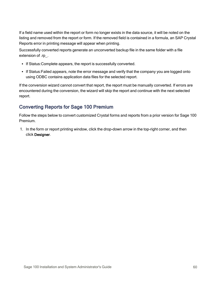If a field name used within the report or form no longer exists in the data source, it will be noted on the listing and removed from the report or form. If the removed field is contained in a formula, an SAP Crystal Reports error in printing message will appear when printing.

Successfully converted reports generate an unconverted backup file in the same folder with a file extension of .rp.

- If Status: Complete appears, the report is successfully converted.
- If Status: Failed appears, note the error message and verify that the company you are logged onto using ODBC contains application data files for the selected report.

If the conversion wizard cannot convert that report, the report must be manually converted. If errors are encountered during the conversion, the wizard will skip the report and continue with the next selected report.

## <span id="page-65-0"></span>Converting Reports for Sage 100 Premium

Follow the steps below to convert customized Crystal forms and reports from a prior version for Sage 100 Premium.

1. In the form or report printing window, click the drop-down arrow in the top-right corner, and then click Designer.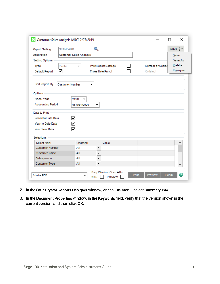| <b>Report Setting</b>    | <b>STANDARD</b>         |              | Q        |                              |  |                  | <br>Save |
|--------------------------|-------------------------|--------------|----------|------------------------------|--|------------------|----------|
| <b>Description</b>       | Customer Sales Analysis |              |          |                              |  | Save             |          |
| Setting Options          |                         |              |          |                              |  |                  | Save As  |
| Type                     | Public                  | ÷            |          | <b>Print Report Settings</b> |  | Number of Copies | Delete   |
| Default Report           | ☑                       |              |          | Three Hole Punch             |  | Collated         | Designer |
| Sort Report By           | <b>Customer Number</b>  |              | ▼        |                              |  |                  |          |
| Options                  |                         |              |          |                              |  |                  |          |
| <b>Fiscal Year</b>       |                         | 2020<br>▼    |          |                              |  |                  |          |
| <b>Accounting Period</b> |                         | 05 5/31/2020 | ▼        |                              |  |                  |          |
| Data to Print            |                         |              |          |                              |  |                  |          |
| Period to Date Data      | ☑                       |              |          |                              |  |                  |          |
| Year to Date Data        | ☑                       |              |          |                              |  |                  |          |
| Prior Year Data          | ☑                       |              |          |                              |  |                  |          |
| Selections               |                         |              |          |                              |  |                  |          |
| <b>Select Field</b>      |                         | Operand      |          | Value                        |  |                  | ۸        |
| <b>Customer Number</b>   |                         | All          | ▼        |                              |  |                  |          |
| <b>Customer Name</b>     |                         | All          | ۰        |                              |  |                  |          |
|                          |                         | Αll          | <b>v</b> |                              |  |                  |          |
| Salesperson              |                         | All          | ۰        |                              |  |                  | v        |

- 2. In the SAP Crystal Reports Designer window, on the File menu, select Summary Info.
- 3. In the Document Properties window, in the Keywords field, verify that the version shown is the current version, and then click OK.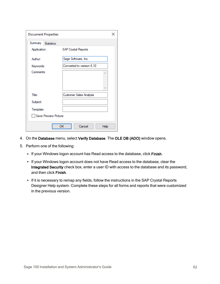| <b>Document Properties</b> |                            | × |  |  |  |  |  |
|----------------------------|----------------------------|---|--|--|--|--|--|
| Summary<br>Statistics      |                            |   |  |  |  |  |  |
| Application:               | <b>SAP Crystal Reports</b> |   |  |  |  |  |  |
| Author:                    | Sage Software, Inc.        |   |  |  |  |  |  |
| Keywords:                  | Converted to version 6.10  |   |  |  |  |  |  |
| Comments:                  | r.                         |   |  |  |  |  |  |
|                            |                            |   |  |  |  |  |  |
|                            | $\sim$                     |   |  |  |  |  |  |
| Title:                     | Customer Sales Analysis    |   |  |  |  |  |  |
| Subject:                   |                            |   |  |  |  |  |  |
| Template:                  |                            |   |  |  |  |  |  |
| Save Preview Picture       |                            |   |  |  |  |  |  |
|                            | ОΚ<br>Cancel<br>Help       |   |  |  |  |  |  |

- 4. On the Database menu, select Verify Database. The OLE DB (ADO) window opens.
- 5. Perform one of the following:
	- If your Windows logon account has Read access to the database, click Finish.
	- If your Windows logon account does not have Read access to the database, clear the Integrated Security check box, enter a user ID with access to the database and its password, and then click Finish.
	- If it is necessary to remap any fields, follow the instructions in the SAP Crystal Reports Designer Help system. Complete these steps for all forms and reports that were customized in the previous version.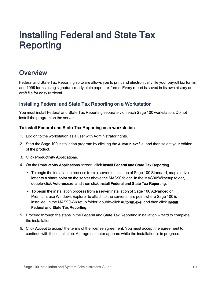# Installing Federal and State Tax Reporting

# **Overview**

Federal and State Tax Reporting software allows you to print and electronically file your payroll tax forms and 1099 forms using signature-ready plain paper tax forms. Every report is saved in its own history or draft file for easy retrieval.

## Installing Federal and State Tax Reporting on a Workstation

You must install Federal and State Tax Reporting separately on each Sage 100 workstation. Do not install the program on the server.

### To install Federal and State Tax Reporting on a workstation

- 1. Log on to the workstation as a user with Administrator rights.
- 2. Start the Sage 100 installation program by clicking the Autorun.ext file, and then select your edition of the product.
- 3. Click Productivity Applications.
- 4. On the Productivity Applications screen, click Install Federal and State Tax Reporting.
	- To begin the installation process from a server installation of Sage 100 Standard, map a drive letter to a share point on the server above the MAS90 folder. In the MAS90\Wksetup folder, double-click Autorun.exe, and then click Install Federal and State Tax Reporting.
	- To begin the installation process from a server installation of Sage 100 Advanced or Premium, use Windows Explorer to attach to the server share point where Sage 100 is installed. In the MAS90\Wksetup folder, double-click Autorun.exe, and then click Install Federal and State Tax Reporting.
- 5. Proceed through the steps in the Federal and State Tax Reporting installation wizard to complete the installation.
- 6. Click Accept to accept the terms of the license agreement. You must accept the agreement to continue with the installation. A progress meter appears while the installation is in progress.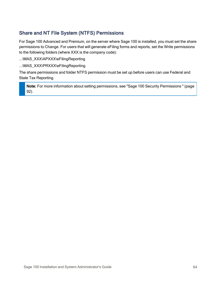## Share and NT File System (NTFS) Permissions

For Sage 100 Advanced and Premium, on the server where Sage 100 is installed, you must set the share permissions to Change. For users that will generate eFiling forms and reports, set the Write permissions to the following folders (where XXX is the company code):

...\MAS\_XXX\APXXX\eFilingReporting

...\MAS\_XXX\PRXXX\eFilingReporting

The share permissions and folder NTFS permission must be set up before users can use Federal and State Tax Reporting.

Note: For more information about setting permissions, see "Sage 100 Security [Permissions](#page-97-0) " (page [92\).](#page-97-0)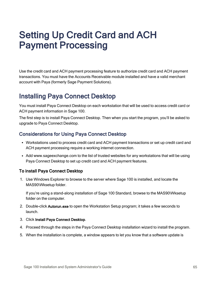# Setting Up Credit Card and ACH Payment Processing

Use the credit card and ACH payment processing feature to authorize credit card and ACH payment transactions. You must have the Accounts Receivable module installed and have a valid merchant account with Paya (formerly Sage Payment Solutions).

# Installing Paya Connect Desktop

You must install Paya Connect Desktop on each workstation that will be used to access credit card or ACH payment information in Sage 100.

The first step is to install Paya Connect Desktop. Then when you start the program, you'll be asked to upgrade to Paya Connect Desktop.

## Considerations for Using Paya Connect Desktop

- Workstations used to process credit card and ACH payment transactions or set up credit card and ACH payment processing require a working internet connection.
- Add www.sageexchange.com to the list of trusted websites for any workstations that will be using Paya Connect Desktop to set up credit card and ACH payment features.

### To install Paya Connect Desktop

1. Use Windows Explorer to browse to the server where Sage 100 is installed, and locate the MAS90\Wksetup folder.

If you're using a stand-along installation of Sage 100 Standard, browse to the MAS90\Wksetup folder on the computer.

- 2. Double-click Autorun.exe to open the Workstation Setup program; it takes a few seconds to launch.
- 3. Click Install Paya Connect Desktop.
- 4. Proceed through the steps in the Paya Connect Desktop installation wizard to install the program.
- 5. When the installation is complete, a window appears to let you know that a software update is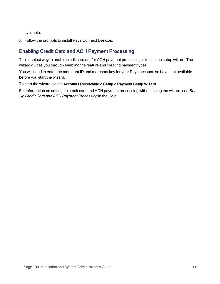available.

6. Follow the prompts to install Paya Connect Desktop.

## Enabling Credit Card and ACH Payment Processing

The simplest way to enable credit card and/or ACH payment processing is to use the setup wizard. The wizard guides you through enabling the feature and creating payment types.

You will need to enter the merchant ID and merchant key for your Paya account, so have that available before you start the wizard.

To start the wizard, select Accounts Receivable > Setup > Payment Setup Wizard.

For information on setting up credit card and ACH payment processing without using the wizard, see Set Up Credit Card and ACH Payment Processing in the Help.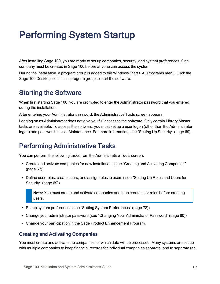# Performing System Startup

After installing Sage 100, you are ready to set up companies, security, and system preferences. One company must be created in Sage 100 before anyone can access the system.

During the installation, a program group is added to the Windows Start > All Programs menu. Click the Sage 100 Desktop icon in this program group to start the software.

# Starting the Software

When first starting Sage 100, you are prompted to enter the Administrator password that you entered during the installation.

After entering your Administrator password, the Administrative Tools screen appears.

Logging on as Administrator does not give you full access to the software. Only certain Library Master tasks are available. To access the software, you must set up a user logon (other than the Administrator logon) and password in User Maintenance. For more information, see "Setting Up [Security"](#page-74-0) (page 69).

# Performing Administrative Tasks

You can perform the following tasks from the Administrative Tools screen:

- Create and activate companies for new installations (see "Creating and Activating [Companies"](#page-72-0) [\(page](#page-72-0) 67))
- Define user roles, create users, and assign roles to users (see ["Setting](#page-74-1) Up Roles and Users for [Security"](#page-74-1) (page 69))

Note: You must create and activate companies and then create user roles before creating users.

- Set up system preferences (see "Setting System [Preferences"](#page-83-0) (page 78))
- Change your administrator password (see "Changing Your [Administrator](#page-85-0) Password" (page 80))
- <span id="page-72-0"></span>• Change your participation in the Sage Product Enhancement Program.

### Creating and Activating Companies

You must create and activate the companies for which data will be processed. Many systems are set up with multiple companies to keep financial records for individual companies separate, and to separate real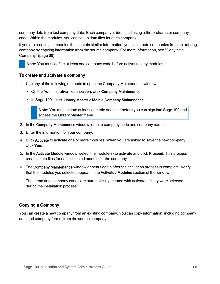company data from test company data. Each company is identified using a three-character company code. Within the modules, you can set up data files for each company.

If you are creating companies that contain similar information, you can create companies from an existing company by copying information from the source company. For more information, see ["Copying](#page-73-0) a [Company"](#page-73-0) (page 68).

Note: You must define at least one company code before activating any modules.

#### To create and activate a company

- 1. Use any of the following methods to open the Company Maintenance window:
	- On the Administrative Tools screen, click Company Maintenance.
	- In Sage 100 select Library Master > Main > Company Maintenance.

Note: You must create at least one role and user before you can sign into Sage 100 and access the Library Master menu.

- 2. In the Company Maintenance window, enter a company code and company name.
- 3. Enter the information for your company.
- 4. Click Activate to activate one or more modules. When you are asked to save the new company, click Yes.
- 5. In the Activate Module window, select the module(s) to activate and click Proceed. This process creates data files for each selected module for the company.
- 6. The Company Maintenance window appears again after the activation process is complete. Verify that the modules you selected appear in the Activated Modules section of the window.

The demo data company codes are automatically created with activated if they were selected during the installation process.

### <span id="page-73-0"></span>Copying a Company

You can create a new company from an existing company. You can copy information, including company data and company forms, from the source company.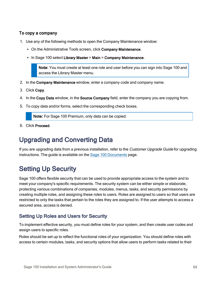### To copy a company

- 1. Use any of the following methods to open the Company Maintenance window:
	- On the Administrative Tools screen, click Company Maintenance.
	- In Sage 100 select Library Master > Main > Company Maintenance.

Note: You must create at least one role and user before you can sign into Sage 100 and access the Library Master menu.

- 2. In the Company Maintenance window, enter a company code and company name.
- 3. Click Copy.
- 4. In the Copy Data window, in the Source Company field, enter the company you are copying from.
- 5. To copy data and/or forms, select the corresponding check boxes.

Note: For Sage 100 Premium, only data can be copied.

6. Click Proceed.

# Upgrading and Converting Data

If you are upgrading data from a previous installation, refer to the Customer Upgrade Guide for upgrading instructions. The guide is available on the Sage 100 [Documents](http://cdn.na.sage.com/docs/en/customer/100erp/Documentation.htm) page.

# <span id="page-74-0"></span>Setting Up Security

Sage 100 offers flexible security that can be used to provide appropriate access to the system and to meet your company's specific requirements. The security system can be either simple or elaborate, protecting various combinations of companies, modules, menus, tasks, and security permissions by creating multiple roles, and assigning these roles to users. Roles are assigned to users so that users are restricted to only the tasks that pertain to the roles they are assigned to. If the user attempts to access a secured area, access is denied.

# <span id="page-74-1"></span>Setting Up Roles and Users for Security

To implement effective security, you must define roles for your system, and then create user codes and assign users to specific roles.

Roles should be set up to reflect the functional roles of your organization. You should define roles with access to certain modules, tasks, and security options that allow users to perform tasks related to their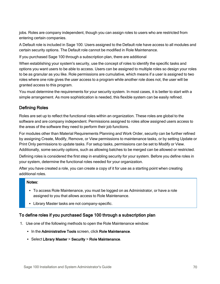jobs. Roles are company independent, though you can assign roles to users who are restricted from entering certain companies.

A Default role is included in Sage 100. Users assigned to the Default role have access to all modules and certain security options. The Default role cannot be modified in Role Maintenance.

If you purchased Sage 100 through a subscription plan, there are additional

When establishing your system's security, use the concept of roles to identify the specific tasks and options you want users to be able to access. Users can be assigned to multiple roles so design your roles to be as granular as you like. Role permissions are cumulative, which means if a user is assigned to two roles where one role gives the user access to a program while another role does not, the user will be granted access to this program.

You must determine the requirements for your security system. In most cases, it is better to start with a simple arrangement. As more sophistication is needed, this flexible system can be easily refined.

### Defining Roles

Roles are set up to reflect the functional roles within an organization. These roles are global to the software and are company independent. Permissions assigned to roles allow assigned users access to the areas of the software they need to perform their job functions.

For modules other than Material Requirements Planning and Work Order, security can be further refined by assigning Create, Modify, Remove, or View permissions to maintenance tasks, or by setting Update or Print Only permissions to update tasks. For setup tasks, permissions can be set to Modify or View. Additionally, some security options, such as allowing batches to be merged can be allowed or restricted.

Defining roles is considered the first step in enabling security for your system. Before you define roles in your system, determine the functional roles needed for your organization.

After you have created a role, you can create a copy of it for use as a starting point when creating additional roles.

#### Notes:

- To access Role Maintenance, you must be logged on as Administrator, or have a role assigned to you that allows access to Role Maintenance.
- Library Master tasks are not company-specific.

### To define roles if you purchased Sage 100 through a subscription plan

- 1. Use one of the following methods to open the Role Maintenance window:
	- In the Administrative Tools screen, click Role Maintenance.
	- Select Library Master > Security > Role Maintenance.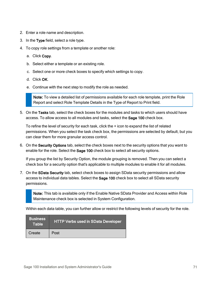- 2. Enter a role name and description.
- 3. In the Type field, select a role type.
- 4. To copy role settings from a template or another role:
	- a. Click Copy.
	- b. Select either a template or an existing role.
	- c. Select one or more check boxes to specify which settings to copy.
	- d. Click OK.
	- e. Continue with the next step to modify the role as needed.

Note: To view a detailed list of permissions available for each role template, print the Role Report and select Role Template Details in the Type of Report to Print field.

5. On the Tasks tab, select the check boxes for the modules and tasks to which users should have access. To allow access to all modules and tasks, select the Sage 100 check box.

To refine the level of security for each task, click the + icon to expand the list of related permissions. When you select the task check box, the permissions are selected by default, but you can clear them for more granular access control.

6. On the Security Options tab, select the check boxes next to the security options that you want to enable for the role. Select the Sage 100 check box to select all security options.

If you group the list by Security Option, the module grouping is removed. Then you can select a check box for a security option that's applicable to multiple modules to enable it for all modules.

7. On the SData Security tab, select check boxes to assign SData security permissions and allow access to individual data tables. Select the Sage 100 check box to select all SData security permissions.

Note: This tab is available only if the Enable Native SData Provider and Access within Role Maintenance check box is selected in System Configuration.

Within each data table, you can further allow or restrict the following levels of security for the role.

| <b>Business</b><br><b>Table</b> | <b>HTTP Verbs used in SData Developer</b> |
|---------------------------------|-------------------------------------------|
| Create                          | Post                                      |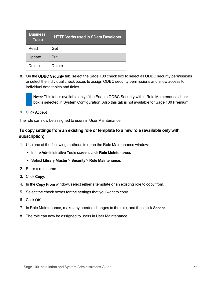| <b>Business</b><br><b>Table</b> | <b>HTTP Verbs used in SData Developer</b> |
|---------------------------------|-------------------------------------------|
| Read                            | Get                                       |
| Update                          | Put                                       |
| Delete                          | <b>Delete</b>                             |

8. On the ODBC Security tab, select the Sage 100 check box to select all ODBC security permissions or select the individual check boxes to assign ODBC security permissions and allow access to individual data tables and fields.

Note: This tab is available only if the Enable ODBC Security within Role Maintenance check box is selected in System Configuration. Also this tab is not available for Sage 100 Premium.

9. Click Accept.

The role can now be assigned to users in User Maintenance.

### To copy settings from an existing role or template to a new role (available only with subscription)

- 1. Use one of the following methods to open the Role Maintenance window:
	- In the Administrative Tools screen, click Role Maintenance.
	- Select Library Master > Security > Role Maintenance.
- 2. Enter a role name.
- 3. Click Copy.
- 4. In the Copy From window, select either a template or an existing role to copy from.
- 5. Select the check boxes for the settings that you want to copy.
- 6. Click OK.
- 7. In Role Maintenance, make any needed changes to the role, and then click Accept.
- 8. The role can now be assigned to users in User Maintenance.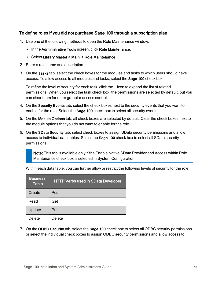### To define roles if you did not purchase Sage 100 through a subscription plan

- 1. Use one of the following methods to open the Role Maintenance window:
	- In the Administrative Tools screen, click Role Maintenance.
	- Select Library Master > Main > Role Maintenance.
- 2. Enter a role name and description.
- 3. On the Tasks tab, select the check boxes for the modules and tasks to which users should have access. To allow access to all modules and tasks, select the Sage 100 check box.

To refine the level of security for each task, click the + icon to expand the list of related permissions. When you select the task check box, the permissions are selected by default, but you can clear them for more granular access control.

- 4. On the Security Events tab, select the check boxes next to the security events that you want to enable for the role. Select the Sage 100 check box to select all security events.
- 5. On the Module Options tab, all check boxes are selected by default. Clear the check boxes next to the module options that you do not want to enable for the role.
- 6. On the SData Security tab, select check boxes to assign SData security permissions and allow access to individual data tables. Select the Sage 100 check box to select all SData security permissions.

Note: This tab is available only if the Enable Native SData Provider and Access within Role Maintenance check box is selected in System Configuration.

| <b>Business</b><br><b>Table</b> | <b>HTTP Verbs used in SData Developer</b> |
|---------------------------------|-------------------------------------------|
| Create                          | Post                                      |
| Read                            | Get                                       |
| Update                          | Put                                       |
| Delete                          | Delete                                    |

Within each data table, you can further allow or restrict the following levels of security for the role.

7. On the ODBC Security tab, select the Sage 100 check box to select all ODBC security permissions or select the individual check boxes to assign ODBC security permissions and allow access to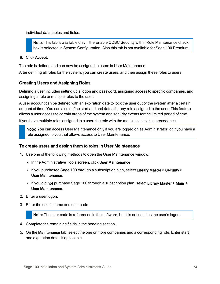individual data tables and fields.

Note: This tab is available only if the Enable ODBC Security within Role Maintenance check box is selected in System Configuration. Also this tab is not available for Sage 100 Premium.

8. Click Accept.

The role is defined and can now be assigned to users in User Maintenance.

After defining all roles for the system, you can create users, and then assign these roles to users.

### Creating Users and Assigning Roles

Defining a user includes setting up a logon and password, assigning access to specific companies, and assigning a role or multiple roles to the user.

A user account can be defined with an expiration date to lock the user out of the system after a certain amount of time. You can also define start and end dates for any role assigned to the user. This feature allows a user access to certain areas of the system and security events for the limited period of time.

If you have multiple roles assigned to a user, the role with the most access takes precedence.

Note: You can access User Maintenance only if you are logged on as Administrator, or if you have a role assigned to you that allows access to User Maintenance.

#### To create users and assign them to roles in User Maintenance

- 1. Use one of the following methods to open the User Maintenance window:
	- In the Administrative Tools screen, click User Maintenance.
	- If you purchased Sage 100 through a subscription plan, select Library Master > Security > User Maintenance.
	- If you did not purchase Sage 100 through a subscription plan, select Library Master > Main > User Maintenance.
- 2. Enter a user logon.
- 3. Enter the user's name and user code.

Note: The user code is referenced in the software, but it is not used as the user's logon.

- 4. Complete the remaining fields in the heading section.
- 5. On the Maintenance tab, select the one or more companies and a corresponding role. Enter start and expiration dates if applicable.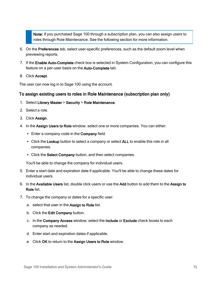Note: If you purchased Sage 100 through a subscription plan, you can also assign users to roles through Role Maintenance. See the following section for more information.

- 6. On the Preferences tab, select user-specific preferences, such as the default zoom level when previewing reports.
- 7. If the Enable Auto-Complete check box is selected in System Configuration, you can configure this feature on a per-user basis on the Auto-Complete tab.
- 8. Click Accept.

The user can now log in to Sage 100 using the account.

#### To assign existing users to roles in Role Maintenance (subscription plan only)

- 1. Select Library Master > Security > Role Maintenance.
- 2. Select a role.
- 3. Click Assign.
- 4. In the Assign Users to Role window, select one or more companies. You can either:
	- Enter a company code in the Company field.
	- Click the Lookup button to select a company or select ALL to enable this role in all companies.
	- Click the Select Company button, and then select companies.

You'll be able to change the company for individual users.

- 5. Enter a start date and expiration date if applicable. You'll be able to change these dates for individual users.
- 6. In the Available Users list, double click users or use the Add button to add them to the Assign to Role list.
- 7. To change the company or dates for a specific user:
	- a. select that user in the Assign to Role list.
	- b. Click the Edit Company button.
	- c. In the Company Access window, select the Include or Exclude check boxes to each company as needed.
	- d. Enter start and expiration dates if applicable.
	- e. Click OK to return to the Assign Users to Role window.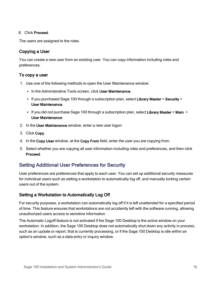#### 8. Click Proceed.

The users are assigned to the roles.

### Copying a User

You can create a new user from an existing user. You can copy information including roles and preferences.

#### To copy a user

- 1. Use one of the following methods to open the User Maintenance window:
	- In the Administrative Tools screen, click User Maintenance.
	- If you purchased Sage 100 through a subscription plan, select Library Master > Security > User Maintenance.
	- If you did not purchase Sage 100 through a subscription plan, select Library Master > Main > User Maintenance.
- 2. In the User Maintenance window, enter a new user logon.
- 3. Click Copy.
- 4. In the Copy User window, at the Copy From field, enter the user you are copying from.
- 5. Select whether you are copying all user information including roles and preferences, and then click Proceed.

### Setting Additional User Preferences for Security

User preferences are preferences that apply to each user. You can set up additional security measures for individual users such as setting a workstation to automatically log off, and manually locking certain users out of the system.

### Setting a Workstation to Automatically Log Off

For security purposes, a workstation can automatically log off if it is left unattended for a specified period of time. This feature ensures that workstations are not accidently left with the software running, allowing unauthorized users access to sensitive information.

The Automatic Logoff feature is not activated if the Sage 100 Desktop is the active window on your workstation. In addition, the Sage 100 Desktop does not automatically shut down any activity in process, such as an update or report, that is currently processing, or if the Sage 100 Desktop is idle within an option's window, such as a data entry or inquiry window.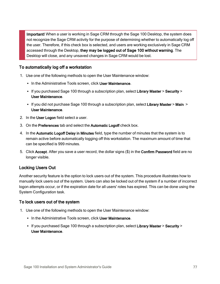Important! When a user is working in Sage CRM through the Sage 100 Desktop, the system does not recognize the Sage CRM activity for the purpose of determining whether to automatically log off the user. Therefore, if this check box is selected, and users are working exclusively in Sage CRM accessed through the Desktop, they may be logged out of Sage 100 without warning. The Desktop will close, and any unsaved changes in Sage CRM would be lost.

#### To automatically log off a workstation

- 1. Use one of the following methods to open the User Maintenance window:
	- In the Administrative Tools screen, click User Maintenance.
	- If you purchased Sage 100 through a subscription plan, select Library Master > Security > User Maintenance.
	- If you did not purchase Sage 100 through a subscription plan, select Library Master > Main > User Maintenance.
- 2. In the User Logon field select a user.
- 3. On the Preferences tab and select the Automatic Logoff check box.
- 4. In the Automatic Logoff Delay in Minutes field, type the number of minutes that the system is to remain active before automatically logging off this workstation. The maximum amount of time that can be specified is 999 minutes.
- 5. Click Accept. After you save a user record, the dollar signs (\$) in the Confirm Password field are no longer visible.

### Locking Users Out

Another security feature is the option to lock users out of the system. This procedure illustrates how to manually lock users out of the system. Users can also be locked out of the system if a number of incorrect logon attempts occur, or if the expiration date for all users' roles has expired. This can be done using the System Configuration task.

#### To lock users out of the system

- 1. Use one of the following methods to open the User Maintenance window:
	- In the Administrative Tools screen, click User Maintenance.
	- If you purchased Sage 100 through a subscription plan, select Library Master > Security > User Maintenance.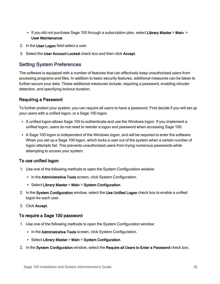- If you did not purchase Sage 100 through a subscription plan, select Library Master  $>$  Main  $>$ User Maintenance.
- 2. In the User Logon field select a user.
- <span id="page-83-0"></span>3. Select the User Account Locked check box and then click Accept.

### Setting System Preferences

The software is equipped with a number of features that can effectively keep unauthorized users from accessing programs and files. In addition to basic security features, additional measures can be taken to further secure your data. These additional measures include, requiring a password, enabling intruder detection, and specifying lockout duration.

### Requiring a Password

To further protect your system, you can require all users to have a password. First decide if you will set up your users with a unified logon, or a Sage 100 logon.

- A unified logon allows Sage 100 to authenticate and use the Windows logon. If you implement a unified logon, users do not need to reenter a logon and password when accessing Sage 100.
- A Sage 100 logon is independent of the Windows logon, and will be required to enter the software. When you set up a Sage 100 logon, which locks a user out of the system when a certain number of logon attempts fail. This prevents unauthorized users from trying numerous passwords while attempting to access your system.

### To use unified logon

- 1. Use one of the following methods to open the System Configuration window:
	- In the Administrative Tools screen, click System Configuration.
	- Select Library Master > Main > System Configuration.
- 2. In the System Configuration window, select the Use Unified Logon check box to enable a unified logon for each user.
- 3. Click Accept.

#### To require a Sage 100 password

- 1. Use one of the following methods to open the System Configuration window:
	- In the Administrative Tools screen, click System Configuration.
	- Select Library Master > Main > System Configuration.
- 2. In the System Configuration window, select the Require all Users to Enter a Password check box.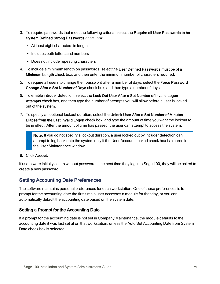- 3. To require passwords that meet the following criteria, select the Require all User Passwords to be System Defined Strong Passwords check box.
	- At least eight characters in length
	- Includes both letters and numbers
	- Does not include repeating characters
- 4. To include a minimum length on passwords, select the User Defined Passwords must be of a Minimum Length check box, and then enter the minimum number of characters required.
- 5. To require all users to change their password after a number of days, select the Force Password Change After a Set Number of Days check box, and then type a number of days.
- 6. To enable intruder detection, select the Lock Out User After a Set Number of Invalid Logon Attempts check box, and then type the number of attempts you will allow before a user is locked out of the system.
- 7. To specify an optional lockout duration, select the Unlock User After a Set Number of Minutes Elapse from the Last Invalid Logon check box, and type the amount of time you want the lockout to be in effect. After the amount of time has passed, the user can attempt to access the system.

Note: If you do not specify a lockout duration, a user locked out by intruder detection can attempt to log back onto the system only if the User Account Locked check box is cleared in the User Maintenance window.

8. Click Accept.

If users were initially set up without passwords, the next time they log into Sage 100, they will be asked to create a new password.

### Setting Accounting Date Preferences

The software maintains personal preferences for each workstation. One of these preferences is to prompt for the accounting date the first time a user accesses a module for that day, or you can automatically default the accounting date based on the system date.

### Setting a Prompt for the Accounting Date

If a prompt for the accounting date is not set in Company Maintenance, the module defaults to the accounting date it was last set at on that workstation, unless the Auto Set Accounting Date from System Date check box is selected.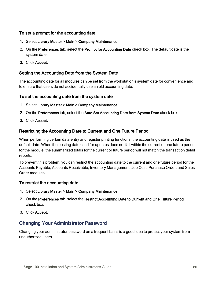### To set a prompt for the accounting date

- 1. Select Library Master > Main > Company Maintenance.
- 2. On the Preferences tab, select the Prompt for Accounting Date check box. The default date is the system date.
- 3. Click Accept.

### Setting the Accounting Date from the System Date

The accounting date for all modules can be set from the workstation's system date for convenience and to ensure that users do not accidentally use an old accounting date.

#### To set the accounting date from the system date

- 1. Select Library Master > Main > Company Maintenance.
- 2. On the Preferences tab, select the Auto Set Accounting Date from System Date check box.
- 3. Click Accept.

### Restricting the Accounting Date to Current and One Future Period

When performing certain data entry and register printing functions, the accounting date is used as the default date. When the posting date used for updates does not fall within the current or one future period for the module, the summarized totals for the current or future period will not match the transaction detail reports.

To prevent this problem, you can restrict the accounting date to the current and one future period for the Accounts Payable, Accounts Receivable, Inventory Management, Job Cost, Purchase Order, and Sales Order modules.

#### To restrict the accounting date

- 1. Select Library Master > Main > Company Maintenance.
- 2. On the Preferences tab, select the Restrict Accounting Date to Current and One Future Period check box.
- <span id="page-85-0"></span>3. Click Accept.

# Changing Your Administrator Password

Changing your administrator password on a frequent basis is a good idea to protect your system from unauthorized users.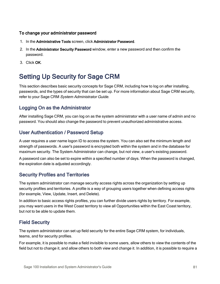#### To change your administrator password

- 1. In the Administrative Tools screen, click Administrator Password.
- 2. In the Administrator Security Password window, enter a new password and then confirm the password.
- 3. Click OK.

# Setting Up Security for Sage CRM

This section describes basic security concepts for Sage CRM, including how to log on after installing, passwords, and the types of security that can be set up. For more information about Sage CRM security, refer to your Sage CRM System Administrator Guide.

### Logging On as the Administrator

After installing Sage CRM, you can log on as the system administrator with a user name of admin and no password. You should also change the password to prevent unauthorized administrative access.

### User Authentication / Password Setup

A user requires a user name logon ID to access the system. You can also set the minimum length and strength of passwords. A user's password is encrypted both within the system and in the database for maximum security. The System Administrator can change, but not view, a user's existing password.

A password can also be set to expire within a specified number of days. When the password is changed, the expiration date is adjusted accordingly.

### Security Profiles and Territories

The system administrator can manage security access rights across the organization by setting up security profiles and territories. A profile is a way of grouping users together when defining access rights (for example, View, Update, Insert, and Delete).

In addition to basic access rights profiles, you can further divide users rights by territory. For example, you may want users in the West Coast territory to view all Opportunities within the East Coast territory, but not to be able to update them.

### Field Security

The system administrator can set up field security for the entire Sage CRM system, for individuals, teams, and for security profiles.

For example, it is possible to make a field invisible to some users, allow others to view the contents of the field but not to change it, and allow others to both view and change it. In addition, it is possible to require a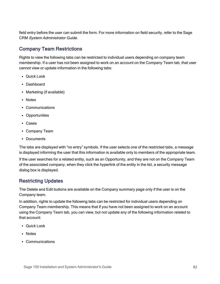field entry before the user can submit the form. For more information on field security, refer to the Sage CRM System Administrator Guide.

# Company Team Restrictions

Rights to view the following tabs can be restricted to individual users depending on company team membership. If a user has not been assigned to work on an account on the Company Team tab, that user cannot view or update information in the following tabs:

- Quick Look
- Dashboard
- Marketing (if available)
- Notes
- Communications
- Opportunities
- <sup>l</sup> Cases
- Company Team
- Documents

The tabs are displayed with "no entry" symbols. If the user selects one of the restricted tabs, a message is displayed informing the user that this information is available only to members of the appropriate team.

If the user searches for a related entity, such as an Opportunity, and they are not on the Company Team of the associated company, when they click the hyperlink of the entity in the list, a security message dialog box is displayed.

# Restricting Updates

The Delete and Edit buttons are available on the Company summary page only if the user is on the Company team.

In addition, rights to update the following tabs can be restricted for individual users depending on Company Team membership. This means that if you have not been assigned to work on an account using the Company Team tab, you can view, but not update any of the following information related to that account:

- Quick Look
- Notes
- Communications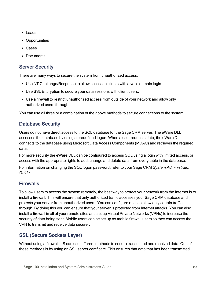- <sup>l</sup> Leads
- Opportunities
- <sup>l</sup> Cases
- Documents

# Server Security

There are many ways to secure the system from unauthorized access:

- Use NT Challenge/Response to allow access to clients with a valid domain login.
- Use SSL Encryption to secure your data sessions with client users.
- Use a firewall to restrict unauthorized access from outside of your network and allow only authorized users through.

You can use all three or a combination of the above methods to secure connections to the system.

# Database Security

Users do not have direct access to the SQL database for the Sage CRM server. The eWare DLL accesses the database by using a predefined logon. When a user requests data, the eWare DLL connects to the database using Microsoft Data Access Components (MDAC) and retrieves the required data.

For more security the eWare DLL can be configured to access SQL using a login with limited access, or access with the appropriate rights to add, change and delete data from every table in the database.

For information on changing the SQL logon password, refer to your Sage CRM System Administrator Guide.

# **Firewalls**

To allow users to access the system remotely, the best way to protect your network from the Internet is to install a firewall. This will ensure that only authorized traffic accesses your Sage CRM database and protects your server from unauthorized users. You can configure rules to allow only certain traffic through. By doing this you can ensure that your server is protected from Internet attacks. You can also install a firewall in all of your remote sites and set up Virtual Private Networks (VPNs) to increase the security of data being sent. Mobile users can be set up as mobile firewall users so they can access the VPN to transmit and receive data securely.

# SSL (Secure Sockets Layer)

Without using a firewall, IIS can use different methods to secure transmitted and received data. One of these methods is by using an SSL server certificate. This ensures that data that has been transmitted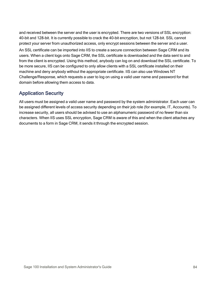and received between the server and the user is encrypted. There are two versions of SSL encryption: 40-bit and 128-bit. It is currently possible to crack the 40-bit encryption, but not 128-bit. SSL cannot protect your server from unauthorized access, only encrypt sessions between the server and a user.

An SSL certificate can be imported into IIS to create a secure connection between Sage CRM and its users. When a client logs onto Sage CRM, the SSL certificate is downloaded and the data sent to and from the client is encrypted. Using this method, anybody can log on and download the SSL certificate. To be more secure, IIS can be configured to only allow clients with a SSL certificate installed on their machine and deny anybody without the appropriate certificate. IIS can also use Windows NT Challenge/Response, which requests a user to log on using a valid user name and password for that domain before allowing them access to data.

# Application Security

All users must be assigned a valid user name and password by the system administrator. Each user can be assigned different levels of access security depending on their job role (for example, IT, Accounts). To increase security, all users should be advised to use an alphanumeric password of no fewer than six characters. When IIS uses SSL encryption, Sage CRM is aware of this and when the client attaches any documents to a form in Sage CRM, it sends it through the encrypted session.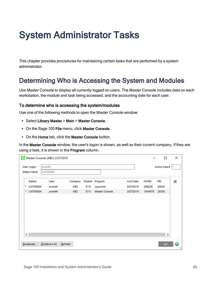# System Administrator Tasks

This chapter provides procedures for maintaining certain tasks that are performed by a system administrator.

# Determining Who is Accessing the System and Modules

Use Master Console to display all currently logged on users. The Master Console includes data on each workstation, the module and task being accessed, and the accounting date for each user.

#### To determine who is accessing the system/modules

Use one of the following methods to open the Master Console window:

- Select Library Master > Main > Master Console.
- On the Sage 100 File menu, click Master Console.
- On the Home tab, click the Master Console button.

In the Master Console window, the user's logon is shown, as well as their current company. If they are using a task, it is shown in the Program column.

| User Logon          | jwsmith   |                |            |            |                       |                  |             | Active Users 1 |   |
|---------------------|-----------|----------------|------------|------------|-----------------------|------------------|-------------|----------------|---|
| <b>Station Name</b> | CAI705804 |                |            |            |                       |                  |             |                |   |
| Station             |           | User           | Company    | Module     | Program               | <b>Acct Date</b> | <b>HWND</b> | PD             | × |
| CAI705804<br>٠      |           | <b>jwsmith</b> | <b>ABC</b> | <b>SYS</b> | Launcher              | 2/27/2019        | 268226      | 20820          |   |
| * CAI705804         |           | jwsmith        | <b>ABC</b> | <b>SYS</b> | <b>Master Console</b> | 2/27/2019        | 1904978     | 25500          |   |
|                     |           |                |            |            |                       |                  |             |                |   |
|                     |           |                |            |            |                       |                  |             |                |   |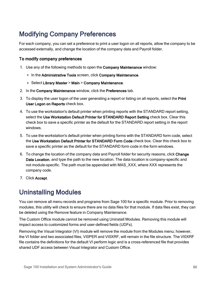# Modifying Company Preferences

For each company, you can set a preference to print a user logon on all reports, allow the company to be accessed externally, and change the location of the company data and Payroll folder.

### To modify company preferences

- 1. Use any of the following methods to open the Company Maintenance window:
	- In the Administrative Tools screen, click Company Maintenance.
	- Select Library Master > Main > Company Maintenance.
- 2. In the Company Maintenance window, click the Preferences tab.
- 3. To display the user logon of the user generating a report or listing on all reports, select the Print User Logon on Reports check box.
- 4. To use the workstation's default printer when printing reports with the STANDARD report setting, select the Use Workstation Default Printer for STANDARD Report Setting check box. Clear this check box to save a specific printer as the default for the STANDARD report setting in the report windows.
- 5. To use the workstation's default printer when printing forms with the STANDARD form code, select the Use Workstation Default Printer for STANDARD Form Code check box. Clear this check box to save a specific printer as the default for the STANDARD form code in the form windows.
- 6. To change the location of the company data and Payroll folder for security reasons, click Change Data Location, and type the path to the new location. The data location is company-specific and not module-specific. The path must be appended with MAS\_XXX, where XXX represents the company code.
- 7. Click Accept.

# Uninstalling Modules

You can remove all menu records and programs from Sage 100 for a specific module. Prior to removing modules, this utility will check to ensure there are no data files for that module. If data files exist, they can be deleted using the Remove feature in Company Maintenance.

The Custom Office module cannot be removed using Uninstall Modules. Removing this module will impact access to customized forms and user-defined fields (UDFs).

Removing the Visual Integrator (VI) module will remove the module from the Modules menu; however, the VI folder and two associated files, VI0PER and VI0XRF, will remain in the file structure. The VI0XRF file contains the definitions for the default VI perform logic and is a cross-referenced file that provides shared UDF access between Visual Integrator and Custom Office.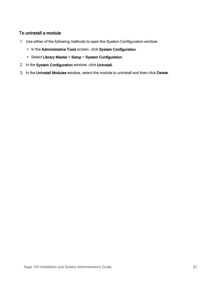### To uninstall a module

- 1. Use either of the following methods to open the System Configuration window:
	- In the Administrative Tools screen, click System Configuration.
	- Select Library Master > Setup > System Configuration.
- 2. In the System Configuration window, click Uninstall.
- 3. In the Uninstall Modules window, select the module to uninstall and then click Delete.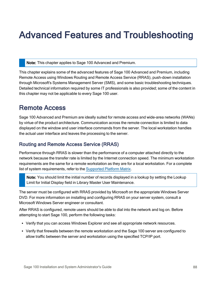# Advanced Features and Troubleshooting

Note: This chapter applies to Sage 100 Advanced and Premium.

This chapter explains some of the advanced features of Sage 100 Advanced and Premium, including Remote Access using Windows Routing and Remote Access Service (RRAS), push-down installation through Microsoft's Systems Management Server (SMS), and some basic troubleshooting techniques. Detailed technical information required by some IT professionals is also provided; some of the content in this chapter may not be applicable to every Sage 100 user.

# Remote Access

Sage 100 Advanced and Premium are ideally suited for remote access and wide-area networks (WANs) by virtue of the product architecture. Communication across the remote connection is limited to data displayed on the window and user interface commands from the server. The local workstation handles the actual user interface and leaves the processing to the server.

# Routing and Remote Access Service (RRAS)

Performance through RRAS is slower than the performance of a computer attached directly to the network because the transfer rate is limited by the Internet connection speed. The minimum workstation requirements are the same for a remote workstation as they are for a local workstation. For a complete list of system requirements, refer to the [Supported](https://support.na.sage.com/selfservice/viewdocument.do?noCount=true&externalId=47649) Platform Matrix.

Note: You should limit the initial number of records displayed in a lookup by setting the Lookup Limit for Initial Display field in Library Master User Maintenance.

The server must be configured with RRAS provided by Microsoft on the appropriate Windows Server DVD. For more information on installing and configuring RRAS on your server system, consult a Microsoft Windows Server engineer or consultant.

After RRAS is configured, remote users should be able to dial into the network and log on. Before attempting to start Sage 100, perform the following tasks:

- Verify that you can access Windows Explorer and see all appropriate network resources.
- Verify that firewalls between the remote workstation and the Sage 100 server are configured to allow traffic between the server and workstation using the specified TCP/IP port.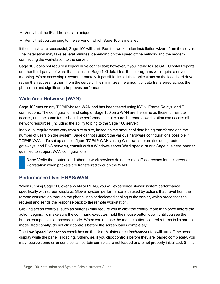- Verify that the IP addresses are unique.
- Verify that you can ping to the server on which Sage 100 is installed.

If these tasks are successful, Sage 100 will start. Run the workstation installation wizard from the server. The installation may take several minutes, depending on the speed of the network and the modem connecting the workstation to the server.

Sage 100 does not require a logical drive connection; however, if you intend to use SAP Crystal Reports or other third-party software that accesses Sage 100 data files, these programs will require a drive mapping. When accessing a system remotely, if possible, install the applications on the local hard drive rather than accessing them from the server. This minimizes the amount of data transferred across the phone line and significantly improves performance.

## Wide Area Networks (WAN)

Sage 100runs on any TCP/IP-based WAN and has been tested using ISDN, Frame Relays, and T1 connections. The configuration and setup of Sage 100 on a WAN are the same as those for remote access, and the same tests should be performed to make sure the remote workstation can access all network resources (including the ability to ping to the Sage 100 server).

Individual requirements vary from site to site, based on the amount of data being transferred and the number of users on the system. Sage cannot support the various hardware configurations possible in TCP/IP WANs. To set up and configure TCP/IP WANs using Windows servers (including routers, gateways, and DNS servers), consult with a Windows server WAN specialist or a Sage business partner qualified to support WAN configurations.

Note: Verify that routers and other network services do not re-map IP addresses for the server or workstation when packets are transferred through the WAN.

# Performance Over RRAS/WAN

When running Sage 100 over a WAN or RRAS, you will experience slower system performance, specifically with screen displays. Slower system performance is caused by actions that travel from the remote workstation through the phone lines or dedicated cabling to the server, which processes the request and sends the response back to the remote workstation.

Clicking action controls (such as buttons) may require you to click the control more than once before the action begins. To make sure the command executes, hold the mouse button down until you see the button change to its depressed mode. When you release the mouse button, control returns to its normal mode. Additionally, do not click controls before the screen loads completely.

The Low Speed Connection check box on the User Maintenance Preferences tab will turn off the screen display while the panel is loading. Otherwise, if you click controls before they are loaded completely, you may receive some error conditions if certain controls are not loaded or are not properly initialized. Similar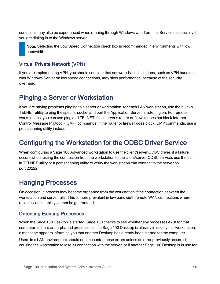conditions may also be experienced when running through Windows with Terminal Services, especially if you are dialing in to the Windows server.

Note: Selecting the Low Speed Connection check box is recommended in environments with low bandwidth.

## Virtual Private Network (VPN)

If you are implementing VPN, you should consider that software-based solutions, such as VPN bundled with Windows Server on low speed connections, may slow performance, because of the security overhead.

# <span id="page-95-0"></span>Pinging a Server or Workstation

If you are having problems pinging to a server or workstation, for each LAN workstation, use the built-in TELNET utility to ping the specific socket and port the Application Server is listening on. For remote workstations, you can use ping and TELNET if the server's router or firewall does not block Internet Control Message Protocol (ICMP) commands. If the router or firewall does block ICMP commands, use a port scanning utility instead.

# Configuring the Workstation for the ODBC Driver Service

When configuring a Sage 100 Advanced workstation to use the client/server ODBC driver, if a failure occurs when testing the connection from the workstation to the client/server ODBC service, use the builtin TELNET utility or a port scanning utility to verify the workstation can connect to the server on port 20222.

# Hanging Processes

On occasion, a process may become orphaned from the workstation if the connection between the workstation and server fails. This is more prevalent in low bandwidth remote WAN connections where reliability and stability cannot be guaranteed.

### Detecting Existing Processes

When the Sage 100 Desktop is started, Sage 100 checks to see whether any processes exist for that computer. If there are orphaned processes or if a Sage 100 Desktop is already in use by this workstation, a message appears informing you that another Desktop has already been started for the computer.

Users in a LAN environment should not encounter these errors unless an error previously occurred, causing the workstation to lose its connection with the server, or if another Sage 100 Desktop is in use for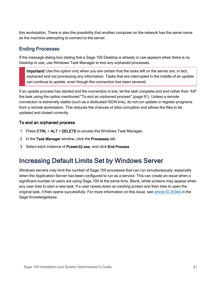this workstation. There is also the possibility that another computer on the network has the same name as the machine attempting to connect to the server.

# Ending Processes

If the message dialog box stating that a Sage 100 Desktop is already in use appears when there is no Desktop in use, use Windows Task Manager to end any orphaned processes.

Important! Use this option only when you are certain that the tasks left on the server are, in fact, orphaned and not processing any information. Tasks that are interrupted in the middle of an update can continue to update, even though the connection has been severed.

If an update process has started and the connection is lost, let the task complete and end rather than "kill" the task using the option mentioned "To end an [orphaned](#page-96-0) process" (page 91). Unless a remote connection is extremely stable (such as a dedicated ISDN line), do not run update or register programs from a remote workstation. This reduces the chances of data corruption and allows the files to be updated and closed correctly.

### <span id="page-96-0"></span>To end an orphaned process

- 1. Press CTRL + ALT + DELETE to access the Windows Task Manager.
- 2. In the Task Manager window, click the Processes tab.
- 3. Select each instance of Pvxwin32.exe, and click End Process.

# Increasing Default Limits Set by Windows Server

Windows servers may limit the number of Sage 100 processes that can run simultaneously, especially when the Application Server has been configured to run as a service. This can create an issue when a significant number of users are using Sage 100 at the same time. Blank, white screens may appear when any user tries to start a new task. If a user closes down an existing screen and then tries to open the original task, it then opens successfully. For more information on this issue, see article ID [20344](https://support.na.sage.com/selfservice/viewdocument.do?noCount=true&externalId=20344) in the Sage Knowledgebase.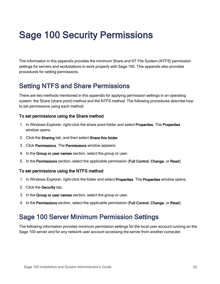# Sage 100 Security Permissions

The information in this appendix provides the minimum Share and NT File System (NTFS) permission settings for servers and workstations to work properly with Sage 100. This appendix also provides procedures for setting permissions.

# Setting NTFS and Share Permissions

There are two methods mentioned in this appendix for applying permission settings in an operating system: the Share (share point) method and the NTFS method. The following procedures describe how to set permissions using each method.

#### To set permissions using the Share method

- 1. In Windows Explorer, right-click the share point folder and select Properties. The Properties window opens.
- 2. Click the Sharing tab, and then select Share this folder.
- 3. Click Permissions. The Permissions window appears.
- 4. In the Group or user names section, select the group or user.
- 5. In the Permissions section, select the applicable permission (Full Control, Change, or Read).

#### To set permissions using the NTFS method

- 1. In Windows Explorer, right-click the folder and select Properties. The Properties window opens.
- 2. Click the Security tab.
- 3. In the Group or user names section, select the group or user.
- 4. In the Permissions section, select the applicable permission (Full Control, Change, or Read).

# Sage 100 Server Minimum Permission Settings

The following information provides minimum permission settings for the local user account running on the Sage 100 server and for any network user account accessing the server from another computer.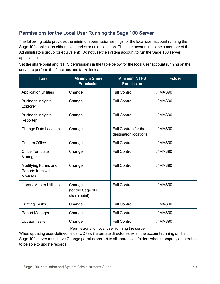# Permissions for the Local User Running the Sage 100 Server

The following table provides the minimum permission settings for the local user account running the Sage 100 application either as a service or an application. The user account must be a member of the Administrators group (or equivalent). Do not use the system account to run the Sage 100 server application.

Set the share point and NTFS permissions in the table below for the local user account running on the server to perform the functions and tasks indicated.

| <b>Task</b>                                                  | <b>Minimum Share</b><br><b>Permission</b>   | <b>Minimum NTFS</b><br><b>Permission</b>       | <b>Folder</b> |
|--------------------------------------------------------------|---------------------------------------------|------------------------------------------------|---------------|
| <b>Application Utilities</b>                                 | Change                                      | <b>Full Control</b>                            | $. \MAS90$    |
| <b>Business Insights</b><br>Explorer                         | Change                                      | <b>Full Control</b>                            | \MAS90        |
| <b>Business Insights</b><br>Reporter                         | Change                                      | <b>Full Control</b>                            | $. \MAS90$    |
| Change Data Location                                         | Change                                      | Full Control (for the<br>destination location) | .MAS90        |
| <b>Custom Office</b>                                         | Change                                      | <b>Full Control</b>                            | $. \MAS90$    |
| Office Template<br>Manager                                   | Change                                      | <b>Full Control</b>                            | .MAS90        |
| Modifying Forms and<br>Reports from within<br><b>Modules</b> | Change                                      | <b>Full Control</b>                            | .MAS90        |
| <b>Library Master Utilities</b>                              | Change<br>(for the Sage 100<br>share point) | <b>Full Control</b>                            | .MAS90        |
| <b>Printing Tasks</b>                                        | Change                                      | <b>Full Control</b>                            | $. \MAS90$    |
| <b>Report Manager</b>                                        | Change                                      | <b>Full Control</b>                            | $. \MAS90$    |
| <b>Update Tasks</b>                                          | Change                                      | <b>Full Control</b>                            | $. \MAS90$    |

Permissions for local user running the server

When updating user-defined fields (UDFs), if alternate directories exist, the account running on the Sage 100 server must have Change permissions set to all share point folders where company data exists to be able to update records.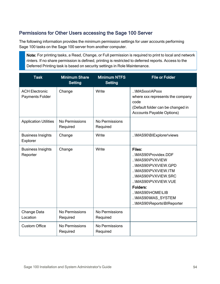# Permissions for Other Users accessing the Sage 100 Server

The following information provides the minimum permission settings for user accounts performing Sage 100 tasks on the Sage 100 server from another computer.

Note: For printing tasks, a Read, Change, or Full permission is required to print to local and network rinters. If no share permission is defined, printing is restricted to deferred reports. Access to the Deferred Printing task is based on security settings in Role Maintenance.

| <b>Task</b>                              | <b>Minimum Share</b><br><b>Setting</b> | <b>Minimum NTFS</b><br><b>Setting</b> | <b>File or Folder</b>                                                                                                                                                                                                    |
|------------------------------------------|----------------------------------------|---------------------------------------|--------------------------------------------------------------------------------------------------------------------------------------------------------------------------------------------------------------------------|
| <b>ACH Electronic</b><br>Payments Folder | Change                                 | Write                                 | \MASxxx\APxxx<br>where xxx represents the company<br>code<br>(Default folder can be changed in<br><b>Accounts Payable Options)</b>                                                                                       |
| <b>Application Utilities</b>             | No Permissions<br>Required             | No Permissions<br>Required            |                                                                                                                                                                                                                          |
| <b>Business Insights</b><br>Explorer     | Change                                 | Write                                 | \MAS90\BIExplorer\views                                                                                                                                                                                                  |
| <b>Business Insights</b><br>Reporter     | Change                                 | Write                                 | Files:<br>\MAS90\Providex.DDF<br>\MAS90\PVXVIEW<br>\MAS90\PVXVIEW.GPD<br>\MAS90\PVXVIEW.ITM<br>\MAS90\PVXVIEW.SRC<br>\MAS90\PVXVIEW.VUE<br>Folders:<br>\MAS90\HOME\LIB<br>\MAS90\MAS SYSTEM<br>\MAS90\Reports\BIReporter |
| Change Data<br>Location                  | No Permissions<br>Required             | <b>No Permissions</b><br>Required     |                                                                                                                                                                                                                          |
| <b>Custom Office</b>                     | No Permissions<br>Required             | <b>No Permissions</b><br>Required     |                                                                                                                                                                                                                          |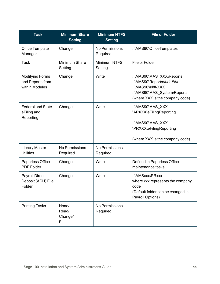| <b>Task</b>                                                  | <b>Minimum Share</b><br><b>Setting</b> | <b>Minimum NTFS</b><br><b>Setting</b> | <b>File or Folder</b>                                                                                                                       |
|--------------------------------------------------------------|----------------------------------------|---------------------------------------|---------------------------------------------------------------------------------------------------------------------------------------------|
| <b>Office Template</b><br>Manager                            | Change                                 | No Permissions<br>Required            | \MAS90\OfficeTemplates                                                                                                                      |
| Task                                                         | Minimum Share<br>Setting               | <b>Minimum NTFS</b><br>Setting        | File or Folder                                                                                                                              |
| <b>Modifying Forms</b><br>and Reports from<br>within Modules | Change                                 | Write                                 | \MAS90\MAS_XXX\Reports<br>\MAS90\Reports\###-###<br>$\ldots$ \MAS90\###-XXX<br>\MAS90\MAS_System\Reports<br>(where XXX is the company code) |
| <b>Federal and State</b><br>eFiling and<br>Reporting         | Change                                 | Write                                 | \MAS90\MAS_XXX<br>\APXXX\eFilingReporting<br>\MAS90\MAS XXX<br>\PRXXX\eFilingReporting<br>(where XXX is the company code)                   |
| <b>Library Master</b><br><b>Utilities</b>                    | No Permissions<br>Required             | No Permissions<br>Required            |                                                                                                                                             |
| Paperless Office<br><b>PDF Folder</b>                        | Change                                 | Write                                 | Defined in Paperless Office<br>maintenance tasks                                                                                            |
| <b>Payroll Direct</b><br>Deposit (ACH) File<br>Folder        | Change                                 | Write                                 | \MASxxx\PRxxx<br>where xxx represents the company<br>code<br>(Default folder can be changed in<br>Payroll Options)                          |
| <b>Printing Tasks</b>                                        | None/<br>Read/<br>Change/<br>Full      | <b>No Permissions</b><br>Required     |                                                                                                                                             |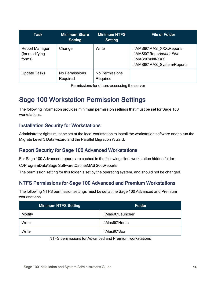| <b>Task</b>                                       | <b>Minimum Share</b><br>Setting | <b>Minimum NTFS</b><br>Setting | <b>File or Folder</b>                                                                                                |
|---------------------------------------------------|---------------------------------|--------------------------------|----------------------------------------------------------------------------------------------------------------------|
| <b>Report Manager</b><br>(for modifying<br>forms) | Change                          | Write                          | \MAS90\MAS XXX\Reports<br>$\MAS90\Re\$ eports $\# # # # #$ ##<br>$\ldots$ MAS90\###-XXX<br>\MAS90\MAS_System\Reports |
| Update Tasks                                      | No Permissions<br>Required      | No Permissions<br>Required     |                                                                                                                      |

Permissions for others accessing the server

# Sage 100 Workstation Permission Settings

The following information provides minimum permission settings that must be set for Sage 100 workstations.

## Installation Security for Workstations

Administrator rights must be set at the local workstation to install the workstation software and to run the Migrate Level 3 Data wizard and the Parallel Migration Wizard.

# Report Security for Sage 100 Advanced Workstations

For Sage 100 Advanced, reports are cached in the following client workstation hidden folder:

C:\ProgramData\Sage Software\Cache\MAS 200\Reports

<span id="page-101-0"></span>The permission setting for this folder is set by the operating system, and should not be changed.

# NTFS Permissions for Sage 100 Advanced and Premium Workstations

The following NTFS permission settings must be set at the Sage 100 Advanced and Premium workstations.

| <b>Minimum NTFS Setting</b> | <b>Folder</b>   |
|-----------------------------|-----------------|
| Modify                      | \Mas90\Launcher |
| Write                       | \Mas90\Home     |
| Write                       | \Mas90\Soa      |

#### NTFS permissions for Advanced and Premium workstations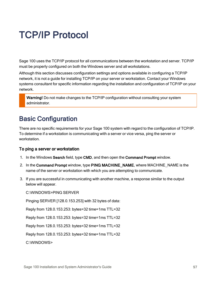# TCP/IP Protocol

Sage 100 uses the TCP/IP protocol for all communications between the workstation and server. TCP/IP must be properly configured on both the Windows server and all workstations.

Although this section discusses configuration settings and options available in configuring a TCP/IP network, it is not a guide for installing TCP/IP on your server or workstation. Contact your Windows systems consultant for specific information regarding the installation and configuration of TCP/IP on your network.

Warning! Do not make changes to the TCP/IP configuration without consulting your system administrator.

# Basic Configuration

There are no specific requirements for your Sage 100 system with regard to the configuration of TCP/IP. To determine if a workstation is communicating with a server or vice versa, ping the server or workstation.

### To ping a server or workstation

- 1. In the Windows Search field, type CMD, and then open the Command Prompt window.
- 2. In the Command Prompt window, type PING MACHINE\_NAME, where MACHINE\_NAME is the name of the server or workstation with which you are attempting to communicate.
- 3. If you are successful in communicating with another machine, a response similar to the output below will appear.

C:\WINDOWS>PING SERVER

Pinging SERVER [128.0.153.253] with 32 bytes of data:

Reply from 128.0.153.253: bytes=32 time=1ms TTL=32

Reply from 128.0.153.253: bytes=32 time=1ms TTL=32

Reply from 128.0.153.253: bytes=32 time=1ms TTL=32

Reply from 128.0.153.253: bytes=32 time=1ms TTL=32

C:\WINDOWS>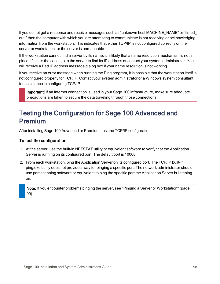If you do not get a response and receive messages such as "unknown host MACHINE\_NAME" or "timed\_ out," then the computer with which you are attempting to communicate is not receiving or acknowledging information from the workstation. This indicates that either TCP/IP is not configured correctly on the server or workstation, or the server is unreachable.

If the workstation cannot find a server by its name, it is likely that a name resolution mechanism is not in place. If this is the case, go to the server to find its IP address or contact your system administrator. You will receive a Bad IP address message dialog box if your name resolution is not working.

If you receive an error message when running the Ping program, it is possible that the workstation itself is not configured properly for TCP/IP. Contact your system administrator or a Windows system consultant for assistance in configuring TCP/IP.

Important! If an Internet connection is used in your Sage 100 infrastructure, make sure adequate precautions are taken to secure the data traveling through those connections.

# Testing the Configuration for Sage 100 Advanced and Premium

After installing Sage 100 Advanced or Premium, test the TCP/IP configuration.

### To test the configuration

- 1. At the server, use the built-in NETSTAT utility or equivalent software to verify that the Application Server is running on its configured port. The default port is 10000.
- 2. From each workstation, ping the Application Server on its configured port. The TCP/IP built-in ping.exe utility does not provide a way for pinging a specific port. The network administrator should use port scanning software or equivalent to ping the specific port the Application Server is listening on.

Note: If you encounter problems pinging the server, see "Pinging a Server or [Workstation"](#page-95-0) (page [90\).](#page-95-0)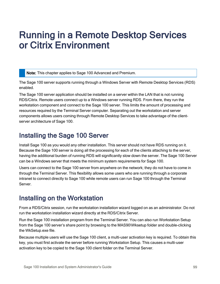# Running in a Remote Desktop Services or Citrix Environment

Note: This chapter applies to Sage 100 Advanced and Premium.

The Sage 100 server supports running through a Windows Server with Remote Desktop Services (RDS) enabled.

The Sage 100 server application should be installed on a server within the LAN that is not running RDS/Citrix. Remote users connect up to a Windows server running RDS. From there, they run the workstation component and connect to the Sage 100 server. This limits the amount of processing and resources required by the Terminal Server computer. Separating out the workstation and server components allows users coming through Remote Desktop Services to take advantage of the clientserver architecture of Sage 100.

# Installing the Sage 100 Server

Install Sage 100 as you would any other installation. This server should not have RDS running on it. Because the Sage 100 server is doing all the processing for each of the clients attaching to the server, having the additional burden of running RDS will significantly slow down the server. The Sage 100 Server can be a Windows server that meets the minimum system requirements for Sage 100.

Users can connect to the Sage 100 server from anywhere on the network; they do not have to come in through the Terminal Server. This flexibility allows some users who are running through a corporate intranet to connect directly to Sage 100 while remote users can run Sage 100 through the Terminal **Server** 

# Installing on the Workstation

From a RDS/Citrix session, run the workstation installation wizard logged on as an administrator. Do not run the workstation installation wizard directly at the RDS/Citrix Server.

Run the Sage 100 installation program from the Terminal Server. You can also run Workstation Setup from the Sage 100 server's share point by browsing to the MAS90\Wksetup folder and double-clicking the WkSetup.exe file.

Because multiple users will use the Sage 100 client, a multi-user activation key is required. To obtain this key, you must first activate the server before running Workstation Setup. This causes a multi-user activation key to be copied to the Sage 100 client folder on the Terminal Server.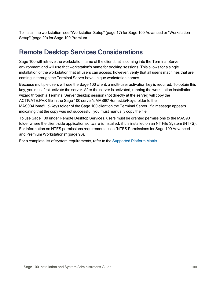To install the workstation, see ["Workstation](#page-22-0) Setup" (page 17) for Sage 100 Advanced or ["Workstation](#page-34-0) [Setup"](#page-34-0) (page 29) for Sage 100 Premium.

# Remote Desktop Services Considerations

Sage 100 will retrieve the workstation name of the client that is coming into the Terminal Server environment and will use that workstation's name for tracking sessions. This allows for a single installation of the workstation that all users can access; however, verify that all user's machines that are coming in through the Terminal Server have unique workstation names.

Because multiple users will use the Sage 100 client, a multi-user activation key is required. To obtain this key, you must first activate the server. After the server is activated, running the workstation installation wizard through a Terminal Server desktop session (not directly at the server) will copy the ACTIVATE.PVX file in the Sage 100 server's MAS90\Home\Lib\Keys folder to the MAS90\Home\Lib\Keys folder of the Sage 100 client on the Terminal Server. If a message appears indicating that the copy was not successful, you must manually copy the file.

To use Sage 100 under Remote Desktop Services, users must be granted permissions to the MAS90 folder where the client-side application software is installed, if it is installed on an NT File System (NTFS). For information on NTFS permissions requirements, see "NTFS [Permissions](#page-101-0) for Sage 100 Advanced and Premium [Workstations"](#page-101-0) (page 96).

For a complete list of system requirements, refer to the [Supported](https://support.na.sage.com/selfservice/viewdocument.do?noCount=true&externalId=47649) Platform Matrix.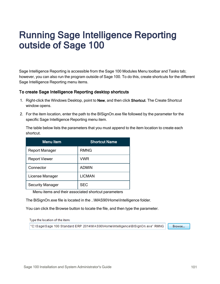# Running Sage Intelligence Reporting outside of Sage 100

Sage Intelligence Reporting is accessible from the Sage 100 Modules Menu toolbar and Tasks tab; however, you can also run the program outside of Sage 100. To do this, create shortcuts for the different Sage Intelligence Reporting menu items.

#### To create Sage Intelligence Reporting desktop shortcuts

- 1. Right-click the Windows Desktop, point to New, and then click Shortcut. The Create Shortcut window opens.
- 2. For the item location, enter the path to the BISignOn.exe file followed by the parameter for the specific Sage Intelligence Reporting menu item.

The table below lists the parameters that you must append to the item location to create each shortcut.

| Menu Item               | <b>Shortcut Name</b> |
|-------------------------|----------------------|
| <b>Report Manager</b>   | <b>RMNG</b>          |
| <b>Report Viewer</b>    | <b>VWR</b>           |
| Connector               | <b>ADMIN</b>         |
| License Manager         | <b>LICMAN</b>        |
| <b>Security Manager</b> | <b>SEC</b>           |

Menu items and their associated shortcut parameters

The BiSignOn.exe file is located in the ..\MAS90\Home\Intelligence folder.

You can click the Browse button to locate the file, and then type the parameter.

Type the location of the item:

"C:\Sage\Sage 100 Standard ERP 2014\MAS90\Home\Intelligence\BISignOn.exe" RMNG

Browse...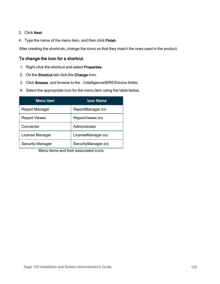#### 3. Click Next.

4. Type the name of the menu item, and then click Finish.

After creating the shortcuts, change the icons so that they match the ones used in the product.

#### To change the icon for a shortcut

- 1. Right-click the shortcut and select Properties.
- 2. On the Shortcut tab click the Change icon.
- 3. Click Browse, and browse to the ..\Intelligence\BIRES\Icons folder.
- 4. Select the appropriate icon for the menu item using the table below.

| <b>Menu</b> Item        | <b>Icon Name</b>    |
|-------------------------|---------------------|
| <b>Report Manager</b>   | ReportManager.ico   |
| <b>Report Viewer</b>    | ReportViewer.ico    |
| Connector               | Administrator       |
| License Manager         | LicenseManager.ico  |
| <b>Security Manager</b> | SecurityManager.ico |

Menu items and their associated icons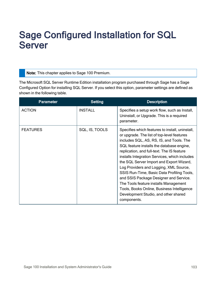# <span id="page-108-0"></span>Sage Configured Installation for SQL Server

Note: This chapter applies to Sage 100 Premium.

The Microsoft SQL Server Runtime Edition installation program purchased through Sage has a Sage Configured Option for installing SQL Server. If you select this option, parameter settings are defined as shown in the following table.

| <b>Parameter</b> | <b>Setting</b> | <b>Description</b>                                                                                                                                                                                                                                                                                                                                                                                                                                                                                                                                                                                                |
|------------------|----------------|-------------------------------------------------------------------------------------------------------------------------------------------------------------------------------------------------------------------------------------------------------------------------------------------------------------------------------------------------------------------------------------------------------------------------------------------------------------------------------------------------------------------------------------------------------------------------------------------------------------------|
| <b>ACTION</b>    | <b>INSTALL</b> | Specifies a setup work flow, such as Install,<br>Uninstall, or Upgrade. This is a required<br>parameter.                                                                                                                                                                                                                                                                                                                                                                                                                                                                                                          |
| <b>FEATURES</b>  | SQL, IS, TOOLS | Specifies which features to install, uninstall,<br>or upgrade. The list of top-level features<br>includes SQL, AS, RS, IS, and Tools. The<br>SQL feature installs the database engine,<br>replication, and full-text. The IS feature<br>installs Integration Services, which includes<br>the SQL Server Import and Export Wizard,<br>Log Providers and Logging, XML Source,<br>SSIS Run-Time, Basic Data Profiling Tools,<br>and SSIS Package Designer and Service.<br>The Tools feature installs Management<br>Tools, Books Online, Business Intelligence<br>Development Studio, and other shared<br>components. |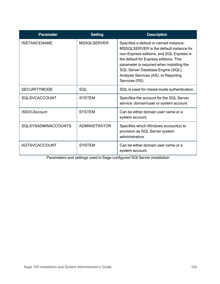| <b>Parameter</b>           | <b>Setting</b>       | <b>Description</b>                                                                                                                                                                                                                                                                                                  |
|----------------------------|----------------------|---------------------------------------------------------------------------------------------------------------------------------------------------------------------------------------------------------------------------------------------------------------------------------------------------------------------|
| <b>INSTANCENAME</b>        | <b>MSSQLSERVER</b>   | Specifies a default or named instance.<br>MSSQLSERVER is the default instance for<br>non-Express editions, and SQL Express is<br>the default for Express editions. This<br>parameter is required when installing the<br>SQL Server Database Engine (SQL),<br>Analysis Services (AS), or Reporting<br>Services (RS). |
| <b>SECURITYMODE</b>        | SQL                  | SQL is used for mixed-mode authentication.                                                                                                                                                                                                                                                                          |
| <b>SQLSVCACCOUNT</b>       | <b>SYSTEM</b>        | Specifies the account for the SQL Server<br>service: domain\user or system account.                                                                                                                                                                                                                                 |
| <b>ISSVCAccount</b>        | <b>SYSTEM</b>        | Can be either domain user name or a<br>system account.                                                                                                                                                                                                                                                              |
| <b>SQLSYSADMINACCOUNTS</b> | <b>ADMINISTRATOR</b> | Specifies which Windows account(s) to<br>provision as SQL Server system<br>administrators.                                                                                                                                                                                                                          |
| <b>AGTSVCACCOUNT</b>       | <b>SYSTEM</b>        | Can be either domain user name or a<br>system account.                                                                                                                                                                                                                                                              |

Parameters and settings used in Sage configured SQI Server installation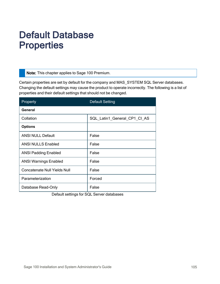# Default Database **Properties**

Note: This chapter applies to Sage 100 Premium.

Certain properties are set by default for the company and MAS\_SYSTEM SQL Server databases. Changing the default settings may cause the product to operate incorrectly. The following is a list of properties and their default settings that should not be changed.

| Property                     | <b>Default Setting</b>       |
|------------------------------|------------------------------|
| General                      |                              |
| Collation                    | SQL Latin1 General CP1 CI AS |
| <b>Options</b>               |                              |
| <b>ANSI NULL Default</b>     | False                        |
| <b>ANSI NULLS Enabled</b>    | False                        |
| <b>ANSI Padding Enabled</b>  | False                        |
| <b>ANSI Warnings Enabled</b> | False                        |
| Concatenate Null Yields Null | False                        |
| Parameterization             | Forced                       |
| Database Read-Only           | False                        |

Default settings for SQL Server databases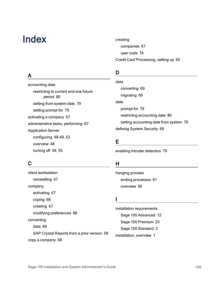# Index

A

accounting date

Application Server

overview [48](#page-53-1)

turning off [49,](#page-54-0) [55](#page-60-0)

restricting to current and one future

period [80](#page-85-0)

setting prompt for [79](#page-84-0) activating a company [67](#page-72-0)

configuring [48-49,](#page-53-0) [53](#page-58-0)

setting from system date [79](#page-84-0)

administrative tasks, performing [67](#page-72-1)

# creating companies [67](#page-72-0) user code [74](#page-79-0) Credit Card Processing, setting up [65](#page-70-0)

# D

data converting [69](#page-74-0) migrating [69](#page-74-0) date prompt for [79](#page-84-0) restricting accounting date [80](#page-85-0) setting accounting date from system [79](#page-84-0) defining System Security [69](#page-74-1)

# E

enabling intruder detection [79](#page-84-1)

# C

client workstation reinstalling [47](#page-52-0) company activating [67](#page-72-0) coping [68](#page-73-0) creating [67](#page-72-0) modifying preferences [86](#page-91-0) converting data [69](#page-74-0) SAP Crystal Reports from a prior version [58](#page-63-0) copy a company [68](#page-73-0)

# H

hanging process ending processes [91](#page-96-0) overview [90](#page-95-0)

# I

installation requirements Sage 100 Advanced [12](#page-17-0) Sage 100 Premium [23](#page-28-0) Sage 100 Standard [3](#page-8-0) installation, overview [1](#page-6-0)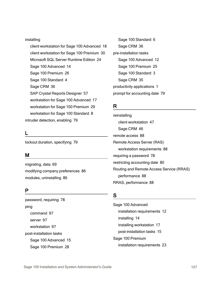#### installing

client workstation for Sage 100 Advanced [18](#page-23-0) client workstation for Sage 100 Premium [30](#page-35-0) Microsoft SQL Server Runtime Edition [24](#page-29-0) Sage 100 Advanced [14](#page-19-0) Sage 100 Premium [26](#page-31-0) Sage 100 Standard [4](#page-9-0) Sage CRM [36](#page-41-0) SAP Crystal Reports Designer [57](#page-62-0) workstation for Sage 100 Advanced [17](#page-22-0) workstation for Sage 100 Premium [29](#page-34-0) workstation for Sage 100 Standard [8](#page-13-0) intruder detection, enabling [79](#page-84-1)

# L

lockout duration, specifying [79](#page-84-1)

# M

migrating, data [69](#page-74-0) modifying company preferences [86](#page-91-0) modules, uninstalling [86](#page-91-1)

# P

password, requiring [78](#page-83-0) ping command [97](#page-102-0) server [97](#page-102-1) workstation [97](#page-102-1) post-installation tasks Sage 100 Advanced [15](#page-20-0) Sage 100 Premium [28](#page-33-0)

Sage 100 Standard [6](#page-11-0) Sage CRM [36](#page-41-1) pre-installation tasks Sage 100 Advanced [12](#page-17-1) Sage 100 Premium [25](#page-30-0) Sage 100 Standard [3](#page-8-1) Sage CRM [35](#page-40-0) productivity applications [1](#page-6-1) prompt for accounting date [79](#page-84-0)

### R

reinstalling client workstation [47](#page-52-0) Sage CRM [46](#page-51-0) remote access [88](#page-93-0) Remote Access Server (RAS) workstation requirements [88](#page-93-1) requiring a password [78](#page-83-0) restricting accounting date [80](#page-85-0) Routing and Remote Access Service (RRAS) performance [88](#page-93-2) RRAS, performance [88](#page-93-2)

### S

Sage 100 Advanced installation requirements [12](#page-17-0) installing [14](#page-19-0) installing workstation [17](#page-22-0) post-installation tasks [15](#page-20-0) Sage 100 Premium installation requirements [23](#page-28-0)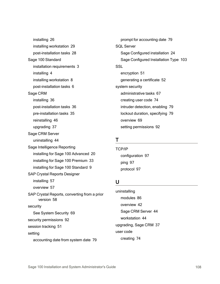installing [26](#page-31-0) installing workstation [29](#page-34-0) post-installation tasks [28](#page-33-0) Sage 100 Standard installation requirements [3](#page-8-0) installing [4](#page-9-0) installing workstation [8](#page-13-0) post-installation tasks [6](#page-11-0) Sage CRM installing [36](#page-41-0) post-installation tasks [36](#page-41-1) pre-installation tasks [35](#page-40-0) reinstalling [46](#page-51-0) upgrading [37](#page-42-0) Sage CRM Server uninstalling [44](#page-49-0) Sage Intelligence Reporting installing for Sage 100 Advanced [20](#page-25-0) installing for Sage 100 Premium [33](#page-38-0) installing for Sage 100 Standard [9](#page-14-0) SAP Crystal Reports Designer installing [57](#page-62-0) overview [57](#page-62-1) SAP Crystal Reports, converting from a prior version [58](#page-63-0) security See System Security [69](#page-74-1) security permissions [92](#page-97-0) session tracking [51](#page-56-0) setting accounting date from system date [79](#page-84-0)

prompt for accounting date [79](#page-84-0) SQL Server Sage Configured installation [24](#page-29-0) Sage Configured Installation Type [103](#page-108-0) **SSL** encryption [51](#page-56-1) generating a certificate [52](#page-57-0) system security administrative tasks [67](#page-72-1) creating user code [74](#page-79-0) intruder detection, enabling [79](#page-84-1) lockout duration, specifying [79](#page-84-1) overview [69](#page-74-1) setting permissions [92](#page-97-0)

# T

TCP/IP configuration [97](#page-102-2) ping [97](#page-102-1) protocol [97](#page-102-3)

### U

uninstalling modules [86](#page-91-1) overview [42](#page-47-0) Sage CRM Server [44](#page-49-0) workstation [44](#page-49-1) upgrading, Sage CRM [37](#page-42-0) user code creating [74](#page-79-0)